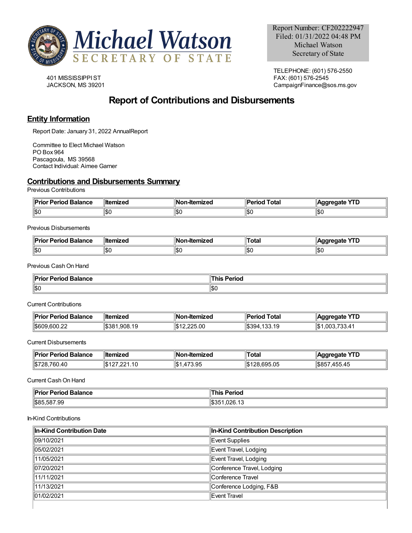

401 MISSISSIPPIST JACKSON, MS 39201

TELEPHONE: (601) 576-2550 FAX: (601) 576-2545 CampaignFinance@sos.ms.gov

# **Report of Contributions and Disbursements**

# **Entity Information**

Report Date: January 31, 2022 AnnualReport

Committee to Elect Michael Watson PO Box 964 Pascagoula, MS 39568 Contact Individual: Aimee Garner

# **Contributions and Disbursements Summary**

Previous Contributions

| ¶D⊶i.<br>or Period Balance<br>יונ. | <b>∥ltemized</b> | Nc<br>-Itemized | Total<br>'erioc | $\sqrt{10}$<br>dareaate<br>. . L |
|------------------------------------|------------------|-----------------|-----------------|----------------------------------|
| 11SC                               | ا⊅∪              | 1\$O            | ا ∩∩ا<br>טרטו   | 10.1<br>⊪ວເ                      |

### Previous Disbursements

| ∥Pri<br>Balance<br>.rınr<br>1 I V | ˈllte<br>---------<br>IIILCU | ΙN<br>nized | ⊺ota⊦ | ню<br>. .<br>-- |
|-----------------------------------|------------------------------|-------------|-------|-----------------|
| $\parallel$ \$0                   | ıъı                          | ∥\$(        | հայ   | ∥\$(            |

Previous CashOn Hand

| Pri<br><b>Period Balance</b><br>$- -$<br>ΊΙΟ. | $\blacksquare$<br>erioc, |
|-----------------------------------------------|--------------------------|
| ∥\$0                                          | \$0                      |

Current Contributions

| <b>Prior Period Balance</b> | ∥Itemized | <b>∥Non-Itemized</b> | d Total<br>Period | YTD<br>∥Aggregate |
|-----------------------------|-----------|----------------------|-------------------|-------------------|
| 1\$609.600.22               | \$381     | 12.225.00            | 133.19            | ∙\$∥              |
|                             | 1.908.19  | $  \Phi A  $         | \$394             | .003.733.41       |

Current Disbursements

| Prior Period Balance | ∥Itemized   | ⊪Nc<br>-Itemized    | ™otal         | нате<br>∟ו<br>--    |
|----------------------|-------------|---------------------|---------------|---------------------|
| .40                  | $\sim$<br>ы | ∥\$<br>ΩF<br>' ວ.ອະ | 95.05ذ<br>ĸu. | IS8!<br>.<br>455.45 |

Current CashOn Hand

| ∥Dri<br><b>Balance</b><br>. <del>.</del><br>∶ י טטו<br>1 I Y<br>. | Perioa<br>hıs<br>. |
|-------------------------------------------------------------------|--------------------|
| $\frac{1}{585,587.99}$                                            | <br>1.UZ0.13<br>ാക |

#### In-Kind Contributions

| In-Kind Contribution Date | In-Kind Contribution Description |
|---------------------------|----------------------------------|
| 109/10/2021               | Event Supplies                   |
| 105/02/2021               | Event Travel, Lodging            |
| $\parallel$ 11/05/2021    | Event Travel, Lodging            |
| 07/20/2021                | Conference Travel, Lodging       |
| $\parallel$ 11/11/2021    | Conference Travel                |
| $\parallel$ 11/13/2021    | Conference Lodging, F&B          |
| 101/02/2021               | Event Travel                     |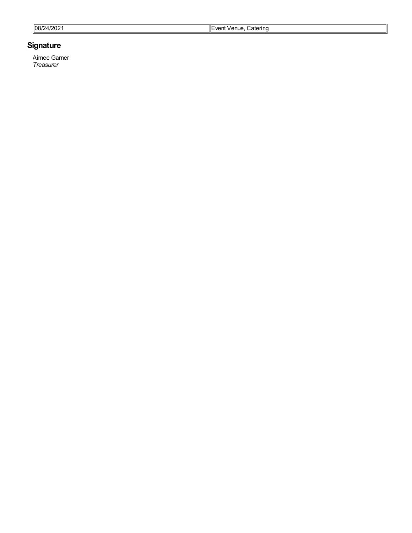| 21/2024<br> 08/T<br>ے ت | enue.<br>Catering<br>∖′∩nt<br>- -<br>. |
|-------------------------|----------------------------------------|
|-------------------------|----------------------------------------|

# **<u>Signature</u>**

Aimee Garner *Tre a s ure r*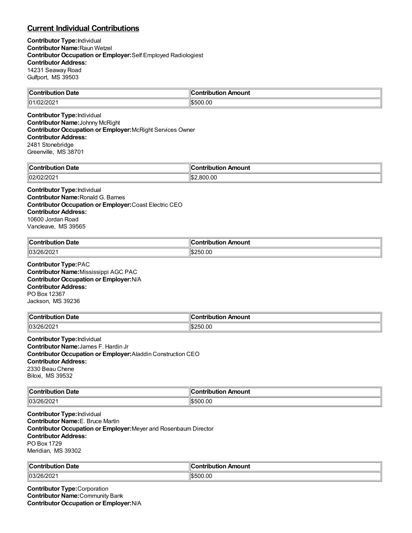# **Current Individual Contributions**

**Contributor Type:**Individual **Contributor Name:**Raun Wetzel **Contributor Occupation or Employer:**Self Employed Radiologiest **Contributor Address:** 14231 Seaway Road Gulfport, MS 39503

| .                                  | $\sim$        |
|------------------------------------|---------------|
| $\sim$                             | Amount        |
| -------------                      | ----          |
| . Date                             | -----         |
| i iduu                             | 10uuon 7      |
| ⊪∩⊹<br>$\sim$<br>111<br>ا 2021/ے ب | 00.00<br>ı.n. |

**Contributor Type:**Individual **Contributor Name:**Johnny McRight **Contributor Occupation or Employer:**McRight Services Owner **Contributor Address:** 2481 Stonebridge Greenville, MS 38701

| ∥Col             |                     |
|------------------|---------------------|
| Date             | <b>\mount</b>       |
| .                | `ontribution        |
| .                |                     |
| 102/0.<br>74 U.C | ١¢<br>300.00<br>ыD. |

**Contributor Type:**Individual **Contributor Name:**Ronald G. Barnes **Contributor Occupation or Employer:**Coast Electric CEO **Contributor Address:** 10600 Jordan Road Vancleave, MS 39565

| ∣∣ี          | Amount           |
|--------------|------------------|
| <b>Date</b>  | a mbuila mbi a m |
| `ontribution | .                |
| .            | ___              |
| 03/26/202    | 250.00           |

**Contributor Type:**PAC **Contributor Name:**Mississippi AGC PAC **Contributor Occupation or Employer:**N/A **Contributor Address:** PO Box 12367 Jackson, MS 39236

| $\blacksquare$ Contribution<br>-<br>. Date | ำ *ntributio.<br>Amount |
|--------------------------------------------|-------------------------|
| 03/26/202                                  | <sup>250.00</sup>       |

**Contributor Type:**Individual **Contributor Name:**James F. Hardin Jr **Contributor Occupation or Employer:**Aladdin Construction CEO **Contributor Address:** 2330 Beau Chene Biloxi, MS 39532

| Contribution Date   | n Amount<br><b>∍ontributio</b> r∟ |
|---------------------|-----------------------------------|
| $ 03/26/202\rangle$ | 500.00<br>\∽u                     |

**Contributor Type:**Individual **Contributor Name:**E. Bruce Martin **Contributor Occupation or Employer:**Meyer and Rosenbaum Director **Contributor Address:** PO Box 1729 Meridian, MS 39302

| من<br>Jate<br>`ontrih<br>- - -<br>----<br>. | . .<br>ı<br>Amount<br>'antrihutian |
|---------------------------------------------|------------------------------------|
| $\sim$ $\sim$ $\sim$<br>OIZUZ.<br>, ושעו    | \$500.00                           |

**Contributor Type:**Corporation **Contributor Name:**Community Bank **Contributor Occupation or Employer:**N/A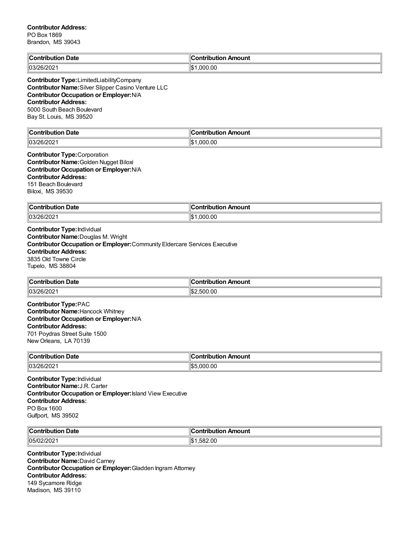# **Contributor Address:** PO Box 1869

Brandon, MS 39043

| $\ $ Contribution<br>Date<br>. | Amount<br>.<br>.     |
|--------------------------------|----------------------|
| 03/26/202                      | ۱IC<br>.000.00<br>ЫJ |

**Contributor Type:**LimitedLiabilityCompany **Contributor Name:**Silver Slipper Casino Venture LLC **Contributor Occupation or Employer:**N/A **Contributor Address:** 5000 South Beach Boulevard Bay St. Louis, MS 39520

| Le<br>Date<br>`nn<br>.                  | .<br>Amount<br>:ontribution |
|-----------------------------------------|-----------------------------|
| 0.000<br>10 <sup>o</sup><br>103/20/2021 | .000.00<br>∥\$              |

#### **Contributor Type:**Corporation **Contributor Name:**Golden Nugget Biloxi **Contributor Occupation or Employer:**N/A **Contributor Address:** 151 Beach Boulevard Biloxi, MS 39530

| r<br>Date<br>.                                    | าounเ<br>----<br>. |
|---------------------------------------------------|--------------------|
| lna <i>r</i><br>.,<br>:UZ<br>ັບປ<br>$\sim$ $\sim$ | .00<br>۱\$۰<br>nnr |

**Contributor Type:**Individual **Contributor Name:**Douglas M. Wright **Contributor Occupation or Employer:**Community Eldercare Services Executive **Contributor Address:** 3835 Old Towne Circle Tupelo, MS 38804

| $C$ ont<br>Date            | Contribution Amount  |
|----------------------------|----------------------|
| מורחו<br>.<br>01ZUZ.<br>יש | $\sim$<br>500<br>.ut |

**Contributor Type:**PAC **Contributor Name:**Hancock Whitney **Contributor Occupation or Employer:**N/A **Contributor Address:** 701 Poydras Street Suite 1500 New Orleans, LA 70139

| ∥c.<br>Date<br>. | <b>\mount</b><br>.<br>-- |
|------------------|--------------------------|
| $\parallel$ 03/2 | ۱Ic                      |
| つに               | 000.00.                  |
| 2012 UZ          | ı.в.                     |

**Contributor Type:**Individual **Contributor Name:**J.R. Carter **Contributor Occupation or Employer:**Island View Executive **Contributor Address:** PO Box 1600 Gulfport, MS 39502

| ∥Cor        | --                   |
|-------------|----------------------|
| Date        | Amount               |
| ontribution | <b>∍ontributior</b>  |
| .           | ___                  |
| 105/02/2021 | ॱॱ<br>1.582.00<br>ıъ |

**Contributor Type:**Individual **Contributor Name:**David Carney **Contributor Occupation or Employer:**Gladden Ingram Attorney **Contributor Address:** 149 Sycamore Ridge Madison, MS 39110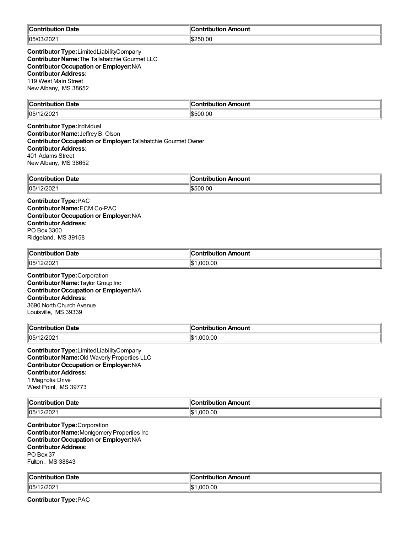| ∥Con<br><b>Date</b><br>----<br>----<br>10u<br>поп | . .<br>Amount<br>.<br>IDUIIO |
|---------------------------------------------------|------------------------------|
| 05/0;<br>,,<br>LUL                                | 250.00                       |

**Contributor Type:**LimitedLiabilityCompany **Contributor Name:**The Tallahatchie Gourmet LLC **Contributor Occupation or Employer:**N/A **Contributor Address:** 119 West Main Street New Albany, MS 38652

| $\mathbb{I}$ C                   | <b>\moun\</b> |
|----------------------------------|---------------|
| <b>Date</b>                      | $\sim$ $\sim$ |
| -----                            | ----          |
| .                                | -----         |
| $\parallel$ 05/1<br><b>LILUL</b> | 0.OC          |

**Contributor Type:**Individual **Contributor Name:**Jeffrey B. Olson **Contributor Occupation or Employer:**Tallahatchie Gourmet Owner **Contributor Address:** 401 Adams Street New Albany, MS 38652

| ∣∣ี                  | ı               |
|----------------------|-----------------|
| <b>Date</b>          | ribution Amount |
| ∴ontributio <i>r</i> | اont            |
| 05/1<br>,,,<br>4202  | 0.OO<br>וו ורי  |

**Contributor Type:**PAC **Contributor Name:**ECM Co-PAC **Contributor Occupation or Employer:**N/A **Contributor Address:** PO Box 3300 Ridgeland, MS 39158

| ∥Coı<br>--<br>n Date<br>a mbuila mbi a m<br>ouuo | . .<br>n Amount<br><b>∠ontributio</b> r |
|--------------------------------------------------|-----------------------------------------|
| 05/12<br>רחריור<br>202                           | ,000.00<br>۱ъ                           |

**Contributor Type:**Corporation **Contributor Name:**Taylor Group Inc **Contributor Occupation or Employer:**N/A **Contributor Address:** 3690 North Church Avenue Louisville, MS 39339

| <b>Contribution Date</b> | ∥Contribution Amount |
|--------------------------|----------------------|
| 05/12/2021               | 000.00.۱<br>٦Ъ       |

**Contributor Type:**LimitedLiabilityCompany **Contributor Name:**Old Waverly Properties LLC **Contributor Occupation or Employer:**N/A **Contributor Address:** 1 Magnolia Drive West Point, MS 39773

| llC<br>Jate<br>∴∩nt<br>----<br>'i∩n | miku diana<br>Amount<br>----<br>' IL |
|-------------------------------------|--------------------------------------|
| 05/1<br>L <i>LIL</i> UZ             | .000.00<br>llo                       |

**Contributor Type:**Corporation **Contributor Name:**Montgomery Properties Inc **Contributor Occupation or Employer:**N/A **Contributor Address:** PO Box 37 Fulton , MS 38843

| $\mathbb{C}$<br>Date<br><b>Contribution</b> | ∥Contribution Amount               |
|---------------------------------------------|------------------------------------|
| 05/1<br>. <i>LIL</i> UZ '                   | $\sim$<br>In.<br>იიი<br>۱.Ъ<br>.uu |

**Contributor Type:**PAC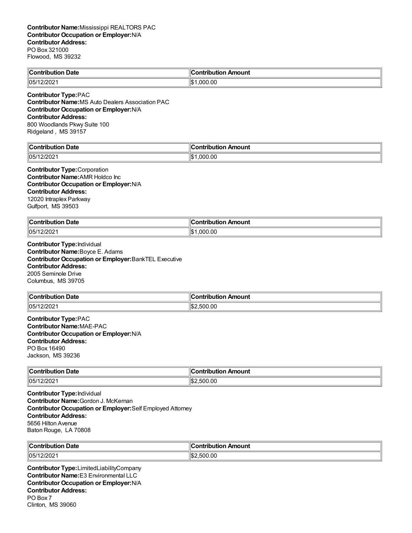| <b>Contribution Date</b>    | <b>Contribution Amount</b> |  |
|-----------------------------|----------------------------|--|
| 05/12/2021                  | $\frac{1}{2}1.000.00$      |  |
| <b>Contributor Type:PAC</b> |                            |  |

**Contributor Name:**MS Auto Dealers Association PAC **Contributor Occupation or Employer:**N/A **Contributor Address:** 800 Woodlands Pkwy Suite 100 Ridgeland , MS 39157

| <b>Contribution Date</b>         | Amount<br>$\sim$ ontribution $\sim$ |
|----------------------------------|-------------------------------------|
| .000.00<br>  05/12/2021<br>' \$∵ |                                     |

**Contributor Type:**Corporation **Contributor Name:**AMR Holdco Inc **Contributor Occupation or Employer:**N/A **Contributor Address:** 12020 Intraplex Parkway Gulfport, MS 39503

| ⊩∩<br>Date<br>$-1 - 1$       | <b>\mount</b><br>$-200$<br>----<br>--<br>. |
|------------------------------|--------------------------------------------|
| 105/1<br>רחריו<br><b>ZUZ</b> | ۱¢<br>0.00<br>nnn<br>יש                    |

**Contributor Type:**Individual **Contributor Name:**Boyce E. Adams **Contributor Occupation or Employer:**BankTEL Executive **Contributor Address:** 2005 Seminole Drive Columbus, MS 39705

| ∥Con<br>Date<br>----<br>.<br>.    | nount            |
|-----------------------------------|------------------|
| $ 105/1\rangle$<br>חרי.<br>14 U 4 | .00<br>500<br>ъ. |

**Contributor Type:**PAC **Contributor Name:**MAE-PAC **Contributor Occupation or Employer:**N/A **Contributor Address:** PO Box 16490 Jackson, MS 39236

| <b>Contribution Date</b> | :ontribution Amount |
|--------------------------|---------------------|
| 105/12/2021              | 2.500.00<br>∠⊪ ∖    |

**Contributor Type:**Individual **Contributor Name:**Gordon J. McKernan **Contributor Occupation or Employer:**Self Employed Attorney **Contributor Address:** 5656 Hilton Avenue Baton Rouge, LA 70808

| $\mathsf{I}$ | Amount      |
|--------------|-------------|
| Date         | .           |
| .            |             |
| 105/1<br>202 | .00<br>יי ה |

**Contributor Type:**LimitedLiabilityCompany **Contributor Name:**E3 Environmental LLC **Contributor Occupation or Employer:**N/A **Contributor Address:** PO Box 7 Clinton, MS 39060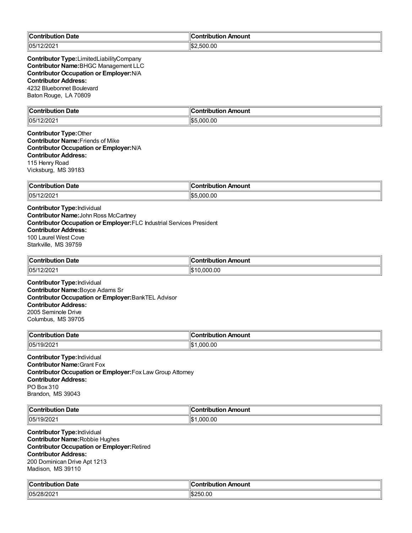| Contribution<br><b>Date</b> | ∥Contribution Amount |
|-----------------------------|----------------------|
| 105/12/2021                 | 'IS:<br>.00<br>50    |

**Contributor Type:**LimitedLiabilityCompany **Contributor Name:**BHGC Management LLC **Contributor Occupation or Employer:**N/A **Contributor Address:** 4232 Bluebonnet Boulevard Baton Rouge, LA 70809

| $\mathbb{C}$                             | Amount          |
|------------------------------------------|-----------------|
| Date                                     | ^n+             |
| … ∴ontri~                                | --              |
| ш                                        | --              |
| .                                        |                 |
| $\parallel$ 05/1<br>3/000<br>2/2021<br>. | 1\$!<br>.000.00 |

**Contributor Type:**Other **Contributor Name:**Friends of Mike **Contributor Occupation or Employer:**N/A **Contributor Address:** 115 Henry Road Vicksburg, MS 39183

| ∥Coı<br>Date<br>.<br>. | . .<br>Amount<br>.<br>.<br>ш |
|------------------------|------------------------------|
| 105/1                  | 0.00                         |
| 1000                   | $\sim$                       |
| 202                    | эс эс                        |
|                        | הכו'                         |

**Contributor Type:**Individual **Contributor Name:**John Ross McCartney **Contributor Occupation or Employer:**FLC Industrial Services President **Contributor Address:** 100 Laurel West Cove Starkville, MS 39759

| ∥Con<br>Date<br>tribution | .<br>Amount |
|---------------------------|-------------|
| 05/17 <br>2/202           | 0.000.00    |

**Contributor Type:**Individual **Contributor Name:**Boyce Adams Sr **Contributor Occupation or Employer:**BankTEL Advisor **Contributor Address:** 2005 Seminole Drive Columbus, MS 39705

| $\mathbb{I}$ C<br>Date<br><b>Contribution</b><br>⊔ti∩n | Amount<br>`ontribution |
|--------------------------------------------------------|------------------------|
| $\sim$ '0004<br>$\parallel$ 05/1<br><b>JILUL</b>       | .000.00<br>∥\$         |

**Contributor Type:**Individual **Contributor Name:**Grant Fox **Contributor Occupation or Employer:**Fox Law Group Attorney **Contributor Address:** PO Box 310 Brandon, MS 39043

| $\mathsf{C}$<br>Jate<br>. | Amount<br>- -- -      |
|---------------------------|-----------------------|
| 05/1<br>19/202            | ۱\$∙<br>~<br>nnr<br>w |

**Contributor Type:**Individual **Contributor Name:**Robbie Hughes **Contributor Occupation or Employer:**Retired **Contributor Address:** 200 Dominican Drive Apt 1213 Madison, MS 39110

| $\mathsf{C}$ ontribution | Amount      |
|--------------------------|-------------|
| <b>Date</b>              | antrihutian |
| 05/2 <sup>c</sup>        | $\sim$      |
| ,,                       | יטרי.       |
| :∪≀∠∪∠                   | .ut         |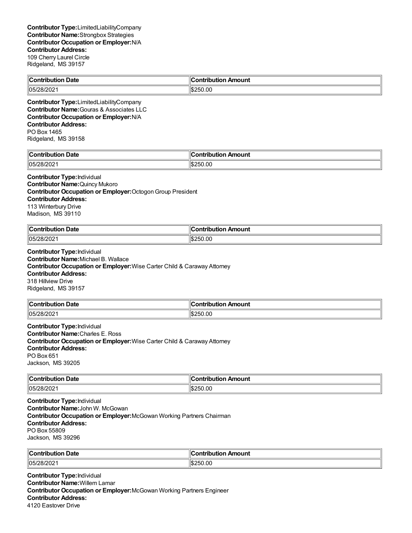| $\mathsf{C}_{\mathsf{C}}$<br><b>Date</b><br>rihution | 11<br>Amount<br>:ontribut<br>Hon<br>יטו |
|------------------------------------------------------|-----------------------------------------|
| 05/28/202                                            | ่⊫∥⊄≏≏<br>:50.00<br>יי<br>⊿תוו          |

**Contributor Type:**LimitedLiabilityCompany **Contributor Name:**Gouras & Associates LLC **Contributor Occupation or Employer:**N/A **Contributor Address:** PO Box 1465 Ridgeland, MS 39158

| ----<br>`on'<br>----<br>- -<br><b>Date</b> | mount<br>$\sim$ $\sim$<br>___<br>----- |
|--------------------------------------------|----------------------------------------|
| ו∩⊏.<br>∠∪∠                                | .00<br>ורי<br>I.D.                     |

## **Contributor Type:**Individual

**Contributor Name:**Quincy Mukoro **Contributor Occupation or Employer:**OctogonGroup President **Contributor Address:** 113 Winterbury Drive Madison, MS 39110

| $"On the line -$<br>Date<br>. | ı<br>.<br>- -- -<br>.<br>้วนท. |
|-------------------------------|--------------------------------|
| $\parallel$ 05/2              | 0.0                            |
| .uz                           | $  \$2F^*$                     |
|                               | 75U                            |

**Contributor Type:**Individual **Contributor Name:**Michael B. Wallace **Contributor Occupation or Employer:**Wise Carter Child & Caraway Attorney **Contributor Address:** 318 Hillview Drive Ridgeland, MS 39157

| ∥Conf<br>Date<br>tribution | n Amount<br>---<br>.<br><b>IDULIO</b> F |
|----------------------------|-----------------------------------------|
| 105/28/202                 | 250.00<br>IS.                           |

**Contributor Type:**Individual **Contributor Name:**Charles E. Ross **Contributor Occupation or Employer:**Wise Carter Child & Caraway Attorney **Contributor Address:** PO Box 651 Jackson, MS 39205

| Contribution Date   | n Amount<br>ontribution |
|---------------------|-------------------------|
| $ 05/28/202\rangle$ | :250.00                 |

**Contributor Type:**Individual **Contributor Name:**John W. McGowan **Contributor Occupation or Employer:**McGowan Working Partners Chairman **Contributor Address:** PO Box 55809 Jackson, MS 39296

| ∥Con'<br><b>Date</b><br>ГIК<br>ОΠ<br>. | 'IC<br>Amount<br>. <b>.</b><br>___ |
|----------------------------------------|------------------------------------|
| 105/28/202                             | IS2<br>450.UU                      |

**Contributor Type:**Individual **Contributor Name:**Willem Lamar **Contributor Occupation or Employer:**McGowan Working Partners Engineer **Contributor Address:** 4120 Eastover Drive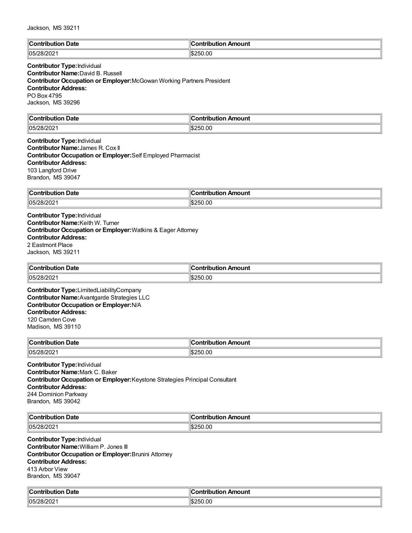| ∥Co⊧<br><b>Date</b><br>$-1 - 1$<br>. | <b>\mount</b><br>'antributti an |
|--------------------------------------|---------------------------------|
| 05/28/202                            | 250.00                          |
| ZOIZUZ 1                             | 1.D.                            |

### **Contributor Type:**Individual **Contributor Name:**David B. Russell **Contributor Occupation or Employer:**McGowan Working Partners President **Contributor Address:** PO Box 4795 Jackson, MS 39296

| ∥Conti<br>Date<br>.            | 11<br>mount<br>---<br>         |
|--------------------------------|--------------------------------|
| 05 <sup>r</sup><br>ں ر<br>. UZ | .00<br>۱Iœ<br>יי<br>. הוו<br>. |

### **Contributor Type:**Individual **Contributor Name:**James R. Cox II **Contributor Occupation or Employer:**Self Employed Pharmacist **Contributor Address:** 103 Langford Drive Brandon, MS 39047

| ∜Contribut<br>Date<br>. | mount      |
|-------------------------|------------|
| 05/28/202               | .00<br>つらい |

**Contributor Type:**Individual **Contributor Name:**Keith W. Turner **Contributor Occupation or Employer:**Watkins & Eager Attorney **Contributor Address:** 2 Eastmont Place Jackson, MS 39211

| ∣∣ี                  | ┅                            |
|----------------------|------------------------------|
| Date                 | ontributiorد ب               |
| <b>⊥Contributior</b> | ribution Amount              |
| 105/28/202           | ۱Iœ<br>50.OC<br>יי<br>1. n., |

**Contributor Type:**LimitedLiabilityCompany **Contributor Name:**Avantgarde Strategies LLC **Contributor Occupation or Employer:**N/A **Contributor Address:** 120 Camden Cove Madison, MS 39110

| $\mathsf{C}$ ontribution<br>Date<br>. | Amount<br>.<br>----<br>m<br>$\sim$ $\sim$ $\sim$ $\sim$ $\sim$ $\sim$ |
|---------------------------------------|-----------------------------------------------------------------------|
| 05/28/202                             | .00<br>⊪c<br>いにの                                                      |

**Contributor Type:**Individual **Contributor Name:**Mark C. Baker **Contributor Occupation or Employer:**Keystone Strategies Principal Consultant **Contributor Address:** 244 Dominion Parkway Brandon, MS 39042

| llC.<br>∪ate<br>$\sim$ $\sim$ $\sim$ $\sim$ $\sim$ $\sim$ $\sim$ | $-0.1100$<br>.<br>TH.<br>nount<br>.          |
|------------------------------------------------------------------|----------------------------------------------|
| 05/28<br>- UZ                                                    | .00<br>$\sim$<br>וגד<br>ט ו<br>$\sim$ $\sim$ |

**Contributor Type:**Individual **Contributor Name:**William P. Jones III **Contributor Occupation or Employer:**Brunini Attorney **Contributor Address:** 413 Arbor View Brandon, MS 39047

| من<br>ribution Date.<br>`ontribution                    | :ontribut<br>ribution Amount |
|---------------------------------------------------------|------------------------------|
| $\sim$ 100.1000<br>י∿ט⊪<br>— ו 202≀ט <i>ـ</i><br>, ושטו | 250.00<br>IS.                |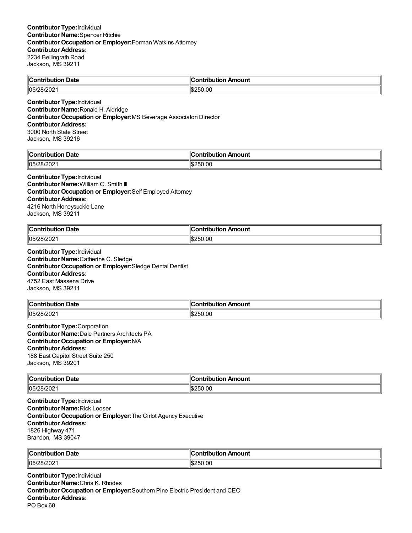| $\mathsf{C}_{\mathsf{C}}$ |                   |
|---------------------------|-------------------|
| <b>Date</b>               | Amount            |
| -----                     | ----              |
| $\sim$                    |                   |
| 105 <sub>k</sub><br>ືບ∠   | 0.0<br>ılФ<br>ם נ |

**Contributor Type:**Individual **Contributor Name:**Ronald H. Aldridge **Contributor Occupation or Employer:**MS Beverage Associaton Director **Contributor Address:** 3000 North State Street Jackson, MS 39216

| $\blacksquare$ Contribution | `ontribution         |
|-----------------------------|----------------------|
| Date                        | Amount               |
| 105/<br>، عەل غەرب          | :50.00<br>IS.<br>ורי |

### **Contributor Type:**Individual **Contributor Name:**William C. Smith III **Contributor Occupation or Employer:**Self Employed Attorney

**Contributor Address:**

4216 North Honeysuckle Lane Jackson, MS 39211

| <b>Date</b><br>$\ $ Contribution | . .<br>Amount<br><b>∍ontributior</b> |
|----------------------------------|--------------------------------------|
| 105/28/2021                      | <sup>4</sup> \$250.00                |
|                                  | ™. D.                                |

**Contributor Type:**Individual **Contributor Name:**Catherine C. Sledge **Contributor Occupation or Employer:**Sledge Dental Dentist **Contributor Address:** 4752 East Massena Drive Jackson, MS 39211

| <b>Contribution</b><br>າ Date    | `ontribution Amount |
|----------------------------------|---------------------|
| 05/2 <sup>°</sup><br>-201<br>.uz | 1\$250.00           |

**Contributor Type:**Corporation **Contributor Name:**Dale Partners Architects PA **Contributor Occupation or Employer:**N/A **Contributor Address:** 188 East Capitol Street Suite 250 Jackson, MS 39201

| $\ $ Contribution | Amount            |
|-------------------|-------------------|
| <b>↑Date</b>      | .ontribution      |
| 105/28/202        | 1\$250.00<br>'‼Ъ∠ |

**Contributor Type:**Individual **Contributor Name:**Rick Looser **Contributor Occupation or Employer:**The Cirlot Agency Executive **Contributor Address:** 1826 Highway 471 Brandon, MS 39047

| $\ $ Contributio<br><b>Date</b><br>. | bution Amount<br>.<br>''''''<br>___ |
|--------------------------------------|-------------------------------------|
| 05/28/202                            | :50.00                              |

**Contributor Type:**Individual **Contributor Name:**Chris K. Rhodes **Contributor Occupation or Employer:**Southern Pine Electric President and CEO **Contributor Address:** PO Box 60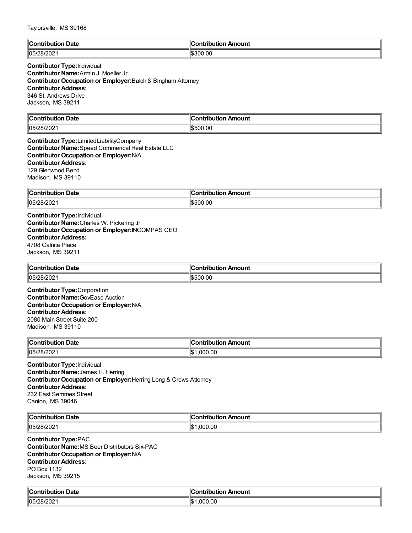| ⊪∩<br>Date<br>.       | ∐<br><b>AMP</b><br>mount<br>----<br>----<br> |
|-----------------------|----------------------------------------------|
| 1202<br> 05/<br>OIZUZ | ll\$300.00                                   |

## **Contributor Type:**Individual **Contributor Name:**Armin J. Moeller Jr. **Contributor Occupation or Employer:**Balch & Bingham Attorney **Contributor Address:** 346 St. Andrews Drive Jackson, MS 39211

| $\mathsf{d} \mathsf{c}$<br>Jate<br>$\sim$ $\sim$ $\sim$ $\sim$ $\sim$ $\sim$ | $\mathbf{r}$<br>.<br>1100<br>---<br>. |
|------------------------------------------------------------------------------|---------------------------------------|
| 105/<br>uz<br>_____                                                          | חו<br>__                              |

**Contributor Type:**LimitedLiabilityCompany **Contributor Name:**Speed Commerical Real Estate LLC **Contributor Occupation or Employer:**N/A **Contributor Address:** 129 Glenwood Bend Madison, MS 39110

| ∣∣ี<br>Date<br>`ontribution<br>. | Amount<br>'a mbuile i ibi a m |
|----------------------------------|-------------------------------|
| 05/2 <sup>c</sup>                | 0.00                          |
| 012 U Z                          | ١Ψ                            |

**Contributor Type:**Individual **Contributor Name:**Charles W. Pickering Jr. **Contributor Occupation or Employer:**INCOMPAS CEO **Contributor Address:** 4708 Calnita Place Jackson, MS 39211

| $\mathsf{C}$ ontribution<br><b>Date</b><br>wu | Amount<br>ontribution |
|-----------------------------------------------|-----------------------|
| 05/2 <sup>c</sup><br>,,<br>SUZUZ.             | 500.00;               |

**Contributor Type:**Corporation **Contributor Name:**GovEase Auction **Contributor Occupation or Employer:**N/A **Contributor Address:** 2080 Main Street Suite 200 Madison, MS 39110

| ∣∣ี<br>Date<br>.         | Amount<br>.<br>$\cdots$ |
|--------------------------|-------------------------|
| 05/2 <sup>°</sup><br>∠∪∠ | м<br>.00<br>. nr        |

**Contributor Type:**Individual **Contributor Name:**James H. Herring **Contributor Occupation or Employer:**Herring Long & Crews Attorney **Contributor Address:** 232 East Semmes Street Canton, MS 39046

| ∥Cω<br>Date<br><b>Contribution</b> | on Amount<br>---<br>IDL |
|------------------------------------|-------------------------|
| 105/28                             | ll¢                     |
| – JIZUZ '                          | 000.00                  |
|                                    | ыD                      |

**Contributor Type:**PAC **Contributor Name:**MS Beer Distributors Six-PAC **Contributor Occupation or Employer:**N/A **Contributor Address:** PO Box 1132 Jackson, MS 39215

| $\blacksquare$ Contribution<br>Date<br>. | 10<br>:ontribution<br>Amount |
|------------------------------------------|------------------------------|
| 05/28/202                                | ∥\$∶<br>.000.00              |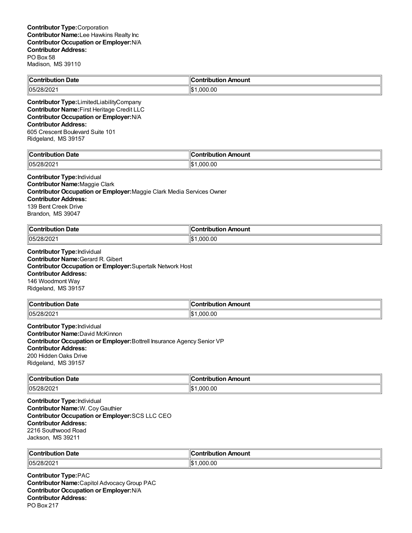| <b>Contribution Date</b> | Contribution Amount   |
|--------------------------|-----------------------|
| 05/28/2021               | ll₾<br>.000.00<br>۱JD |
|                          |                       |

**Contributor Type:**LimitedLiabilityCompany **Contributor Name:**First Heritage Credit LLC **Contributor Occupation or Employer:**N/A **Contributor Address:** 605 Crescent Boulevard Suite 101 Ridgeland, MS 39157

| llC.                |                         |
|---------------------|-------------------------|
| Date                | งท Amount               |
| <b>Contribution</b> | Ш                       |
| 05/28<br>- UZ       | ll¢<br>.00<br>וחה<br>ыJ |

### **Contributor Type:**Individual

**Contributor Name:**Maggie Clark **Contributor Occupation or Employer:**Maggie Clark Media Services Owner

**Contributor Address:**

139 Bent Creek Drive Brandon, MS 39047

| .<br>$\mathbb{I}$ C<br>Date<br>… ∴ontrib∴<br>ution<br>1DU. | Amount<br>ntribut.<br>. |
|------------------------------------------------------------|-------------------------|
| 05/28/202                                                  | ∥\$∙                    |
|                                                            | 000.00.                 |

**Contributor Type:**Individual **Contributor Name:**Gerard R. Gibert **Contributor Occupation or Employer:**Supertalk Network Host **Contributor Address:** 146 Woodmont Way Ridgeland, MS 39157

| Contribution Date | .ontributior<br>n Amount |
|-------------------|--------------------------|
| 05/28/202         | 00.                      |
| $-$ UZUZI         | იიი                      |

**Contributor Type:**Individual **Contributor Name:**David McKinnon **Contributor Occupation or Employer:**Bottrell Insurance Agency Senior VP **Contributor Address:** 200 Hidden Oaks Drive Ridgeland, MS 39157

| $\ $ Contribution | Amount             |
|-------------------|--------------------|
| Date              | .                  |
| .                 |                    |
| 105/28/2021       | Ш¢<br>000.00<br>⊔ت |

**Contributor Type:**Individual **Contributor Name:**W. CoyGauthier **Contributor Occupation or Employer:**SCS LLC CEO **Contributor Address:** 2216 Southwood Road Jackson, MS 39211

| ∥Con<br>Date<br>----<br>- - -<br>ш<br>. | Amount<br>.        |
|-----------------------------------------|--------------------|
| 05/28<br>-∪≀∠∪∠                         | '\$∥<br>റററ<br>.OC |

**Contributor Type:**PAC **Contributor Name:**Capitol AdvocacyGroup PAC **Contributor Occupation or Employer:**N/A **Contributor Address:** PO Box 217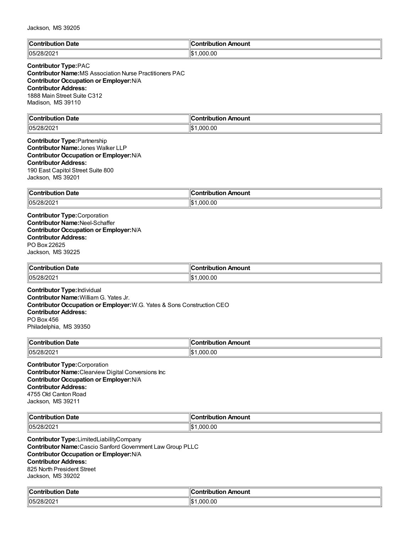| <b>Contribution Date</b> | ∥Contribution Amount          |
|--------------------------|-------------------------------|
| $ 05/28/202\rangle$      | $\mathbf{H}$<br>.000.00<br>ıэ |

# **Contributor Type:**PAC

**Contributor Name:**MS Association Nurse Practitioners PAC **Contributor Occupation or Employer:**N/A **Contributor Address:** 1888 Main Street Suite C312 Madison, MS 39110

| llC.<br>Date<br>and the properties of the state of the state of the state of the state of the state of the state of the state of the state of the state of the state of the state of the state of the state of the state of the state of the s<br>⊔ti∩n | `ontribution<br>Amount |
|---------------------------------------------------------------------------------------------------------------------------------------------------------------------------------------------------------------------------------------------------------|------------------------|
| 05/28/202                                                                                                                                                                                                                                               | .000.00                |
| - 77202                                                                                                                                                                                                                                                 | ∥\$                    |

#### **Contributor Type:**Partnership **Contributor Name:**Jones Walker LLP **Contributor Occupation or Employer:**N/A **Contributor Address:** 190 East Capitol Street Suite 800 Jackson, MS 39201

| $\ $ Contribi<br>Date<br>.  | Amount<br>- -- -<br>---<br>----<br>. . |
|-----------------------------|----------------------------------------|
| 05/2 <sup>c</sup><br>SUZUZ. | .000.00<br>∥\$∶                        |

**Contributor Type:**Corporation **Contributor Name:**Neel-Schaffer **Contributor Occupation or Employer:**N/A **Contributor Address:** PO Box 22625 Jackson, MS 39225

| -<br>$\ $ Contribution<br>bution Date | . Amount<br>ontribution |
|---------------------------------------|-------------------------|
| 05/28/202 <br>OIZUZ                   | .00<br>იიი<br>הכו'      |

**Contributor Type:**Individual **Contributor Name:**William G. Yates Jr. **Contributor Occupation or Employer:**W.G. Yates & Sons Construction CEO **Contributor Address:** PO Box 456 Philadelphia, MS 39350

| $\sim$ ontribution<br>Date<br>ribuuoi<br>שט | "<br>ribution Amount<br>Contribution |
|---------------------------------------------|--------------------------------------|
| 05/2 <sup>c</sup><br>OIZUZ                  | .000.00<br>∥\$։                      |

**Contributor Type:**Corporation **Contributor Name:**Clearview Digital Conversions Inc **Contributor Occupation or Employer:**N/A **Contributor Address:** 4755 Old Canton Road Jackson, MS 39211

| llC.<br>Date<br>-----<br>,,,, | Amount<br>.<br>-нис |
|-------------------------------|---------------------|
| 05/28<br>. با ۱۷ <i>۴ آ</i> ب | .00<br>١d<br>. റല   |

**Contributor Type:**LimitedLiabilityCompany **Contributor Name:**Cascio Sanford Government Law Group PLLC **Contributor Occupation or Employer:**N/A **Contributor Address:** 825 North President Street Jackson, MS 39202

| llC.<br>າ Date<br>Contribution | `ontribution<br>tribution Amount |
|--------------------------------|----------------------------------|
| $ 05/28/202\rangle$            | ∣∣∧                              |
| -∪≀∠∪∠                         | .000.00                          |
|                                | ۱J                               |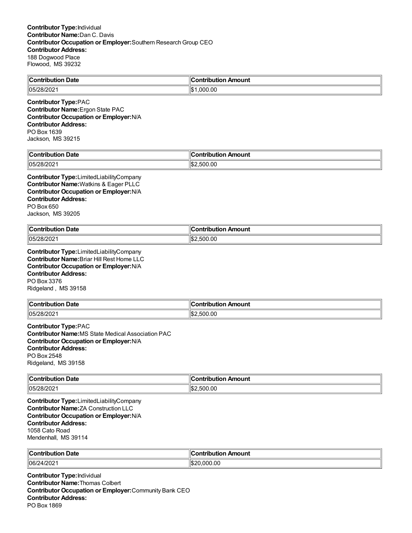| Contribution Date | n Amount<br><b>Contribution</b> |
|-------------------|---------------------------------|
| 05/28/202         | .00<br>იიი                      |

**Contributor Type:**PAC **Contributor Name:**Ergon State PAC **Contributor Occupation or Employer:**N/A **Contributor Address:** PO Box 1639 Jackson, MS 39215

| من<br>Date<br>`on'<br>ributioi    | Amount<br>----<br>:ontribut<br>TIDULION . |
|-----------------------------------|-------------------------------------------|
| 1000<br>החי"<br>28/2021<br>, ושטו | '∣\$.<br>.500.00                          |

**Contributor Type:**LimitedLiabilityCompany **Contributor Name:**Watkins & Eager PLLC **Contributor Occupation or Employer:**N/A **Contributor Address:** PO Box 650 Jackson, MS 39205

| $\ $ Contribution<br>. Date | า Amount<br>`ontribut.<br>н п |
|-----------------------------|-------------------------------|
| 05/28/202                   | 500.00<br>ΠЪ.<br>הורי         |

**Contributor Type:**LimitedLiabilityCompany **Contributor Name:**Briar Hill Rest Home LLC **Contributor Occupation or Employer:**N/A **Contributor Address:** PO Box 3376 Ridgeland , MS 39158

| <b>Contribution</b><br>າ Date | `ontribution Amount |
|-------------------------------|---------------------|
| 05/2 <sup>c</sup>             | 00. (               |
| ンロ                            | ໍ^^                 |
| .uz                           | נות                 |

**Contributor Type:**PAC **Contributor Name:**MS State Medical Association PAC **Contributor Occupation or Employer:**N/A **Contributor Address:** PO Box 2548 Ridgeland, MS 39158

| llC.<br>Date<br>$\sim$ $\sim$ $\sim$ $\sim$ $\sim$ $\sim$ | 10<br>Amount<br>.<br>.<br>шап<br>101 |
|-----------------------------------------------------------|--------------------------------------|
| $\parallel$ 05/28/2021                                    | ∥\$չ                                 |
|                                                           | .500.00                              |

**Contributor Type:**LimitedLiabilityCompany **Contributor Name:**ZA Construction LLC **Contributor Occupation or Employer:**N/A **Contributor Address:** 1058 Cato Road Mendenhall, MS 39114

| ∥Cor           | . Ir           |
|----------------|----------------|
| ı Date         | .              |
| .              | ı Amount       |
| outioi         | <b>ibution</b> |
| 106/2<br>4/202 | .000.00        |

**Contributor Type:**Individual **Contributor Name:**Thomas Colbert **Contributor Occupation or Employer:**Community Bank CEO **Contributor Address:** PO Box 1869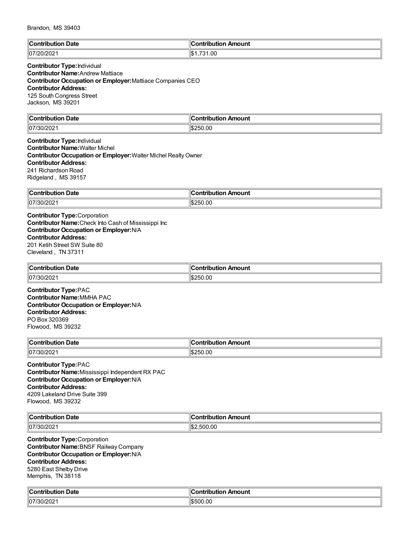| $\mathbb{R}$ | Amount                                     |
|--------------|--------------------------------------------|
| <b>Date</b>  | .                                          |
| *ontribut    | ''^"                                       |
|              |                                            |
| 07/20/20     | 0.00<br>$\sim$<br>$\overline{\phantom{a}}$ |

#### **Contributor Type:**Individual **Contributor Name:**Andrew Mattiace **Contributor Occupation or Employer:**Mattiace Companies CEO **Contributor Address:** 125 South Congress Street Jackson, MS 39201

| llC:<br>Date<br>`antributian | 10<br>Amount<br>---<br>----<br>ורזו |
|------------------------------|-------------------------------------|
| $\sim$ $\sim$                | ∥¢∩                                 |
| 107/                         | 0.0                                 |
| -730/207                     | .,,                                 |
| ≤∪∠                          | ۰m.                                 |
|                              | .                                   |

**Contributor Type:**Individual **Contributor Name:**Walter Michel **Contributor Occupation or Employer:** Walter Michel Realty Owner **Contributor Address:** 241 Richardson Road Ridgeland , MS 39157

| ∥Con<br>Date<br>------- | ribution Amount:<br>`ontribution |
|-------------------------|----------------------------------|
| 07/30/<br>202           | 250.00<br>I.D.                   |

**Contributor Type:**Corporation **Contributor Name:**Check Into Cash of Mississippi Inc **Contributor Occupation or Employer:**N/A **Contributor Address:** 201 Ketih Street SW Suite 80 Cleveland , TN 37311

| $\ $ Contribution<br>ribution Date | <br>. Amount<br>ontribution |
|------------------------------------|-----------------------------|
| 07/30/202                          | 250.00                      |

**Contributor Type:**PAC **Contributor Name:**MMHA PAC **Contributor Occupation or Employer:**N/A **Contributor Address:** PO Box 320369 Flowood, MS 39232

| $\mathsf{C}$ ontribution<br>Date<br>putiol<br>. | Amount<br>.<br>---<br>т |
|-------------------------------------------------|-------------------------|
| 07/30/202                                       | .00<br>DEC<br>'⊅ا⊺      |

**Contributor Type:**PAC **Contributor Name:**Mississippi Independent RX PAC **Contributor Occupation or Employer:**N/A **Contributor Address:** 4209 Lakeland Drive Suite 399 Flowood, MS 39232

| ୍∥C∟           | --           |
|----------------|--------------|
| Date           | ı Amount     |
| 'antributtian  | `ontribution |
| TIDL           | ributioi     |
| ___            | ___          |
| $\parallel$ 07 | .500.00      |
| . 2021         | ™ъ∠          |

**Contributor Type:**Corporation **Contributor Name:**BNSF Railway Company **Contributor Occupation or Employer:**N/A **Contributor Address:** 5280 East Shelby Drive Memphis, TN 38118

| $\mathbb{F}$<br><b>Contribution Date</b>           | ontribution Amount, |
|----------------------------------------------------|---------------------|
| $\sim$ 1000<br>$\parallel$ 07<br>.3UZ<br>ا ۷۷۷/د ب | S500.00             |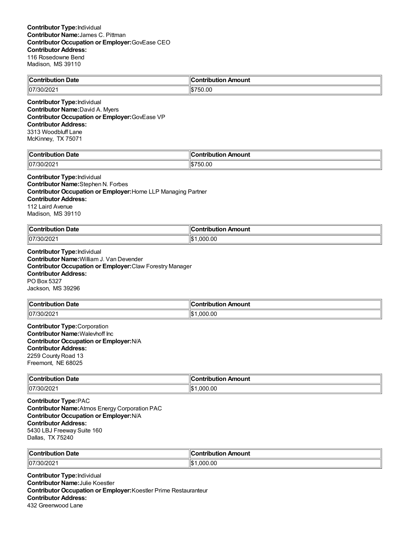| <b>Contribution</b> | Amount       |
|---------------------|--------------|
| Date                | .ontribution |
| 107/30/2021         | 15750.00     |

**Contributor Type:**Individual **Contributor Name:**David A. Myers **Contributor Occupation or Employer:**GovEase VP **Contributor Address:** 3313 Woodbluff Lane McKinney, TX 75071

| من<br>Date<br>`nn<br>.<br>. | 10<br><b>Contribu</b> ′<br>on Amount<br>---- |
|-----------------------------|----------------------------------------------|
| $\parallel$ 07<br>720Z      | ۱c<br>$\overline{\phantom{a}}$<br>הוו<br>.ut |

#### **Contributor Type:**Individual

**Contributor Name:**Stephen N. Forbes **Contributor Occupation or Employer:**Horne LLP Managing Partner **Contributor Address:** 112 Laird Avenue Madison, MS 39110

| llCoi     | Amount         |
|-----------|----------------|
| Date      | - -- -         |
| .         | .              |
| .         |                |
| 07/30/202 | .000.00<br>1\$ |

**Contributor Type:**Individual **Contributor Name:**William J. Van Devender **Contributor Occupation or Employer:**Claw Forestry Manager **Contributor Address:** PO Box 5327 Jackson, MS 39296

| <b>Contribution Date</b> | --<br>.lr<br>⊦Amount<br>:ontribution : |
|--------------------------|----------------------------------------|
| 107/30/2021              | .000.00<br>I\$                         |

**Contributor Type:**Corporation **Contributor Name:**Walevhoff Inc **Contributor Occupation or Employer:**N/A **Contributor Address:** 2259 County Road 13 Freemont, NE 68025

| $\ $ Contribution<br><b>Date</b> | Amount<br>`ontribution |
|----------------------------------|------------------------|
| 07/30/202                        | ∥\$<br>000.00,۱        |

**Contributor Type:**PAC **Contributor Name:**Atmos Energy Corporation PAC **Contributor Occupation or Employer:**N/A **Contributor Address:** 5430 LBJ Freeway Suite 160 Dallas, TX 75240

| llC.<br>Date<br><b><i><u>PARAMETER</u></i></b><br>. | Amount<br>.<br>⊸ullO‼<br>.          |
|-----------------------------------------------------|-------------------------------------|
| $ 07^{\prime\prime} $<br>ч.<br>-∪∠                  | $\sim$<br>ግጡ አ<br>nnr<br>ıъ<br>'.UU |

**Contributor Type:**Individual **Contributor Name:**Julie Koestler **Contributor Occupation or Employer:**Koestler Prime Restauranteur **Contributor Address:** 432 Greenwood Lane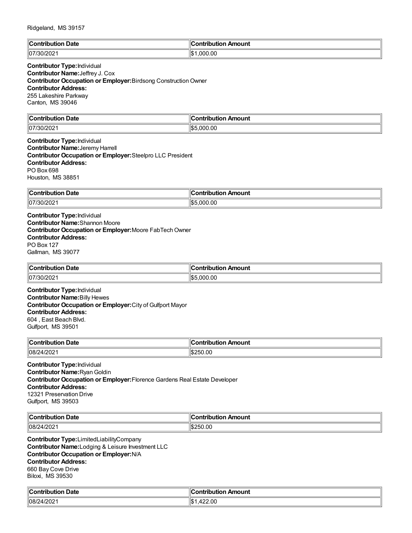| $\mathbb{I}$ C | 's strike is          |
|----------------|-----------------------|
| <b>Date</b>    | Amount                |
| :ontributio    | 'ion                  |
| .              |                       |
| 07/30/202      | .000.00<br>⊪∩∿<br>I-D |

## **Contributor Type:**Individual **Contributor Name:**Jeffrey J. Cox **Contributor Occupation or Employer:**Birdsong Construction Owner **Contributor Address:** 255 Lakeshire Parkway Canton, MS 39046

| $\sf{IC}$ ontri<br>Date           | 11<br>-----<br>.<br>Amount<br>----<br>ווחו |
|-----------------------------------|--------------------------------------------|
| م∪ض∪د ⁄<br> 07/r<br>30Z<br>14 U 4 | .000.00<br>∥\$!                            |

**Contributor Type:**Individual **Contributor Name:**Jeremy Harrell **Contributor Occupation or Employer:**Steelpro LLC President **Contributor Address:** PO Box 698 Houston, MS 38851

| ∥Con        | 10                 |
|-------------|--------------------|
| <b>Date</b> | Amount             |
| .           | <u>antrin mian</u> |
| .           |                    |
| 07/30/      | 000.00.            |
| 30/202      | 11\$.              |

**Contributor Type:**Individual **Contributor Name:**Shannon Moore **Contributor Occupation or Employer: Moore FabTech Owner Contributor Address:** PO Box 127 Gallman, MS 39077

| $\mathsf{C}_{\mathsf{Onfrith}}$<br>Date<br>.<br>. | $\epsilon$<br>Amount<br>ontribi<br>ution |
|---------------------------------------------------|------------------------------------------|
| 07/T                                              | $0.00\,$                                 |
| ″30/20∠.                                          | nnr                                      |
|                                                   | איו                                      |

**Contributor Type:**Individual **Contributor Name:**Billy Hewes **Contributor Occupation or Employer:**City of Gulfport Mayor **Contributor Address:** 604 , East Beach Blvd. Gulfport, MS 39501

| ∥Con<br>Date<br>aile i d<br>.<br>1011 | Amount<br>ontributio |
|---------------------------------------|----------------------|
| 08/24  <br>מחריו<br>472 U Z           | 250.00<br>.ה         |

**Contributor Type:**Individual **Contributor Name:**RyanGoldin **Contributor Occupation or Employer:**Florence Gardens Real Estate Developer **Contributor Address:** 12321 Preservation Drive Gulfport, MS 39503

| ∥C   | Amount |
|------|--------|
| Date | ----   |
| .    |        |
| 08/  | $\sim$ |
| ZUZ. | 250.   |
|      | .vv    |

**Contributor Type:**LimitedLiabilityCompany **Contributor Name:**Lodging & Leisure Investment LLC **Contributor Occupation or Employer:**N/A **Contributor Address:** 660 Bay Cove Drive Biloxi, MS 39530

| Date<br>$\sim$ - $\sim$ $\sim$ $\sim$ | antribution.<br>Amount<br>uuvii / |
|---------------------------------------|-----------------------------------|
| 08/24/2021                            | 422.00                            |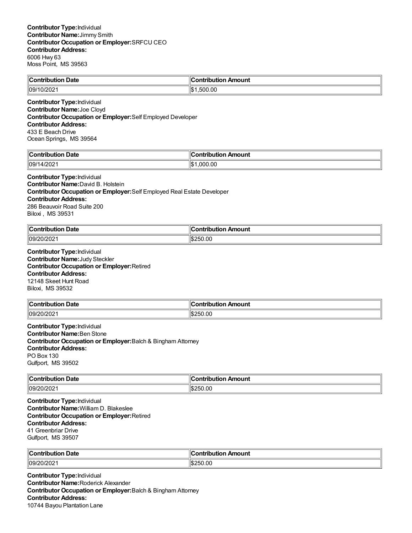| <b>Contribution Date</b> | $\ $ Contribution Amount |
|--------------------------|--------------------------|
| 09/10/2021               | .500.00<br>‼\$1          |
|                          |                          |

**Contributor Type:**Individual **Contributor Name:**Joe Cloyd **Contributor Occupation or Employer:**Self Employed Developer **Contributor Address:** 433 E Beach Drive Ocean Springs, MS 39564

| $\ $ Contribut<br>. Date<br>----<br>. | 10<br>ution Amount<br>----<br>וטו |
|---------------------------------------|-----------------------------------|
| רחריו<br>  09/1<br>$\Lambda$<br>1/∠∪∠ | ∥\$<br>.00<br>nnr                 |

# **Contributor Type:**Individual

**Contributor Name:**David B. Holstein **Contributor Occupation or Employer:**Self Employed Real Estate Developer **Contributor Address:** 286 Beauvoir Road Suite 200 Biloxi , MS 39531

| $\mathbb{R}$<br>Date<br>$-20$ | Amount<br>ำที่rih⊔t⊪.<br>. |
|-------------------------------|----------------------------|
| 09/<br>- UZ                   | -0.00<br>ואכ<br>w          |

**Contributor Type:**Individual **Contributor Name:**Judy Steckler **Contributor Occupation or Employer:**Retired **Contributor Address:** 12148 Skeet Hunt Road Biloxi, MS 39532

| <b>Contribution</b><br>-<br>Date | ontribution Amount |
|----------------------------------|--------------------|
| 09/20/202                        | 250.00             |

**Contributor Type:**Individual **Contributor Name:**Ben Stone **Contributor Occupation or Employer:**Balch & Bingham Attorney **Contributor Address:** PO Box 130 Gulfport, MS 39502

| ∥Coi<br>Date<br>. | .              |
|-------------------|----------------|
| 09/2<br>_UIZUZ !  | 00<br>۱C<br>,, |

**Contributor Type:**Individual **Contributor Name:**William D. Blakeslee **Contributor Occupation or Employer:**Retired **Contributor Address:** 41 Greenbriar Drive Gulfport, MS 39507

| $\mathsf{C}\mathsf{C}\mathsf{C}\mathsf{n}$<br>Date | <b>\mount</b><br>------<br>. |
|----------------------------------------------------|------------------------------|
| 09/2<br>`0/202                                     | .00<br>~<br>-11              |

**Contributor Type:**Individual **Contributor Name:**Roderick Alexander **Contributor Occupation or Employer:**Balch & Bingham Attorney **Contributor Address:** 10744 Bayou Plantation Lane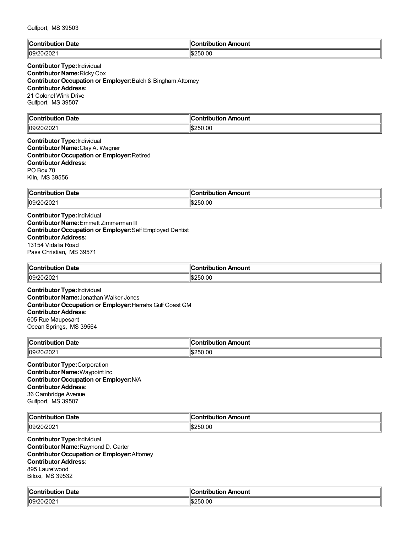| $\mathbb{I}$ C   | <b>Amount</b> |
|------------------|---------------|
| <b>Date</b>      | --------      |
| ™°               | ''^"          |
|                  |               |
| 09/20/2<br>.uzuz | \$250.00      |

## **Contributor Type:**Individual **Contributor Name:**Ricky Cox **Contributor Occupation or Employer:**Balch & Bingham Attorney **Contributor Address:** 21 Colonel Wink Drive Gulfport, MS 39507

| llC.<br><b>Date</b><br><b><i>CAMPRIST</i></b><br>∵itit | `ontribution<br>Amount |
|--------------------------------------------------------|------------------------|
| $ 09/20/20^{\circ} $                                   | 250.00                 |
| .JIZUZ.                                                | ۰m.                    |

**Contributor Type:**Individual **Contributor Name:**Clay A. Wagner **Contributor Occupation or Employer:**Retired **Contributor Address:** PO Box 70 Kiln, MS 39556

| ∥Con'<br><b>Date</b><br>ribution | ribution Amount<br>.       |
|----------------------------------|----------------------------|
| 09/20/202                        | 50.00<br>יים⊪<br>.<br>י הו |

**Contributor Type:**Individual **Contributor Name:**Emmett Zimmerman III **Contributor Occupation or Employer:**Self Employed Dentist **Contributor Address:** 13154 Vidalia Road Pass Christian, MS 39571

| ∥Coı<br>-<br>⊦ Date<br>ontribution | . Amount<br>ontribution |
|------------------------------------|-------------------------|
| 09/20/202                          | :250.00<br>י הדי        |

**Contributor Type:**Individual **Contributor Name:**Jonathan Walker Jones **Contributor Occupation or Employer:**Harrahs Gulf Coast GM **Contributor Address:** 605 Rue Maupesant Ocean Springs, MS 39564

| ∥Coı<br>∣ Date<br>.<br>ли. | Amount<br>.  |
|----------------------------|--------------|
| 09/20/202                  | -0.00<br>וגנ |

**Contributor Type:**Corporation **Contributor Name:**Waypoint Inc **Contributor Occupation or Employer:**N/A **Contributor Address:** 36 Cambridge Avenue Gulfport, MS 39507

| llC.<br>∪ate | $   -$<br>.<br>--<br>oun.<br>.                       |
|--------------|------------------------------------------------------|
| 09/20<br>-94 | .00<br>$\overline{ }$<br>וגד<br>ט ו<br>$\sim$ $\sim$ |

**Contributor Type:**Individual **Contributor Name:**Raymond D. Carter **Contributor Occupation or Employer:**Attorney **Contributor Address:** 895 Laurelwood Biloxi, MS 39532

| $\mathbb{F}$<br>∣ Date<br>$-$<br>.<br>:ion | ontribution .<br>Amount |
|--------------------------------------------|-------------------------|
| ‼∩બ.<br>UIZUZ.<br>$\sim$                   | \$250.00                |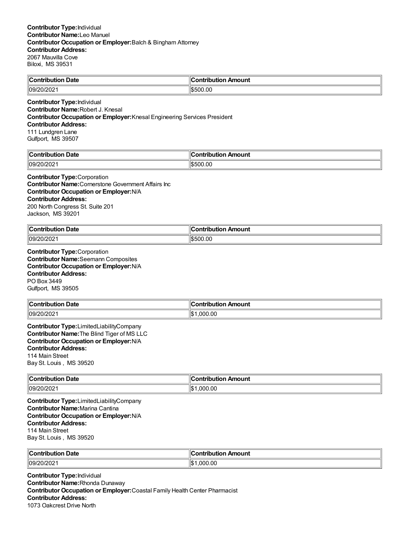|                                  | . .          |
|----------------------------------|--------------|
| $\mathbb{I}$ C                   | ı            |
| Jate                             | `ontribution |
| …∶ontributior                    | Amount       |
| $\frac{109}{20202}$<br>– JIZUZ ⊑ | 1\$500.00    |

#### **Contributor Type:**Individual **Contributor Name:**Robert J. Knesal **Contributor Occupation or Employer:**Knesal Engineering Services President **Contributor Address:** 111 Lundgren Lane

Gulfport, MS 39507

| llC<br>Jate<br>്∩⊓*<br>- - -- | 10<br>mount<br>- - -<br>---<br> |
|-------------------------------|---------------------------------|
| 09/2<br>LUZ.                  | ).UC<br>-<br>ה הו               |

#### **Contributor Type:**Corporation

**Contributor Name:**Cornerstone Government Affairs Inc **Contributor Occupation or Employer:**N/A **Contributor Address:** 200 North Congress St. Suite 201 Jackson, MS 39201

| ∥Cor<br>Date<br>.<br><b>JUTIOR</b><br>. | Amount<br>→ntrihutu.<br>___ |
|-----------------------------------------|-----------------------------|
| 109/20/2021                             | \$500.00                    |

**Contributor Type:**Corporation **Contributor Name:**Seemann Composites **Contributor Occupation or Employer:**N/A **Contributor Address:** PO Box 3449 Gulfport, MS 39505

| Contribution Date   | ⊪Contribution Amount |
|---------------------|----------------------|
| $ 09/20/202\rangle$ | 000.00               |

**Contributor Type:**LimitedLiabilityCompany **Contributor Name:**The Blind Tiger of MS LLC **Contributor Occupation or Employer:**N/A **Contributor Address:** 114 Main Street Bay St. Louis , MS 39520

| $\ $ Contri<br>Date | Amount<br><b>∴ontributior</b> |
|---------------------|-------------------------------|
| 09/                 | ∣∣∩∿                          |
| 20/202              | ,000.00                       |
|                     | 'دا⊪                          |

**Contributor Type:**LimitedLiabilityCompany **Contributor Name:**Marina Cantina **Contributor Occupation or Employer:**N/A **Contributor Address:** 114 Main Street Bay St. Louis , MS 39520

| ∥Coı<br>Date<br>. | .IC<br>nount<br>.<br>.<br>___ |
|-------------------|-------------------------------|
| 09/20/202         | .00<br>იიი<br>1\$             |

**Contributor Type:**Individual **Contributor Name:**Rhonda Dunaway **Contributor Occupation or Employer:**Coastal Family Health Center Pharmacist **Contributor Address:** 1073 Oakcrest Drive North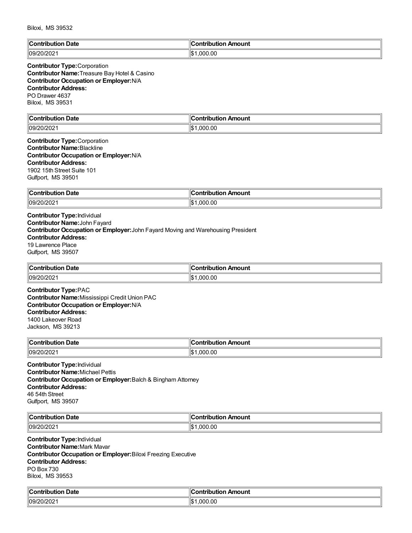| $\ $ Contr $\ $        | . .                  |
|------------------------|----------------------|
| ribution Date          | ∥Contribution Amount |
| 09/2<br>,,,,<br>:urzuz | llœ۰<br>.000.00      |

### **Contributor Type:**Corporation **Contributor Name:**Treasure Bay Hotel & Casino **Contributor Occupation or Employer:**N/A **Contributor Address:** PO Drawer 4637 Biloxi, MS 39531

| llC<br>Date<br>.nn'<br>-----<br>----<br>יטו<br>00 T<br>. | 10<br>mount<br>---<br>-----<br>---<br>וטו |
|----------------------------------------------------------|-------------------------------------------|
| 09/2                                                     | ∥\$∶                                      |
| 20/202                                                   | 000.00                                    |

#### **Contributor Type:**Corporation **Contributor Name:**Blackline **Contributor Occupation or Employer:**N/A **Contributor Address:** 1902 15th Street Suite 101 Gulfport, MS 39501

| <b>Contribution</b> | Amount         |
|---------------------|----------------|
| <b>Date</b>         | ntribut.       |
| $ -$                | .              |
|                     |                |
| ll09/20/2021        | 1.000.00<br>۱Э |

# **Contributor Type:**Individual **Contributor Name:**John Fayard

**Contributor Occupation or Employer:**John Fayard Moving and Warehousing President

# **Contributor Address:**

19 Lawrence Place Gulfport, MS 39507

| ∥Cor<br>ribution Date<br>. | 10<br><b><i><u>A</u> <u>A</u></i></b><br>ution Amount<br>-----<br>IDUIK |
|----------------------------|-------------------------------------------------------------------------|
| 09/20                      | ∥\$∶                                                                    |
| U/ZUZ                      | .00                                                                     |
|                            | nnr                                                                     |

**Contributor Type:**PAC **Contributor Name:**Mississippi Credit Union PAC **Contributor Occupation or Employer:**N/A **Contributor Address:** 1400 Lakeover Road Jackson, MS 39213

| ∣∣ี<br>Date<br>n. | Amount<br>--------<br>---- |
|-------------------|----------------------------|
| 109/20/202        | Ш¢<br>0.00<br>በበ<br>ЫJ     |

**Contributor Type:**Individual **Contributor Name:**Michael Pettis **Contributor Occupation or Employer:**Balch & Bingham Attorney **Contributor Address:** 46 54th Street Gulfport, MS 39507

| ∜С∟                              | . .                  |
|----------------------------------|----------------------|
| Date                             | ı Amount             |
|                                  | <b>∠ontributio</b> r |
| רחרוו<br>109 <sup>r</sup><br>-uz | ,000.00<br>Ψ         |

**Contributor Type:**Individual **Contributor Name:**Mark Mavar **Contributor Occupation or Employer:**Biloxi Freezing Executive **Contributor Address:** PO Box 730 Biloxi, MS 39553

| Date                           | Amount   |
|--------------------------------|----------|
| <b>∴ontribution</b>            | a what   |
| .                              | ∕ih⊔ti∩r |
| $ 09/20/202\rangle$<br>20/2021 | .000.00  |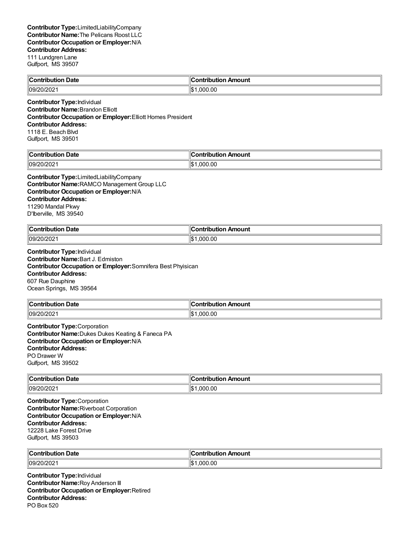| <b>Contribution Date</b>                    | $\ $ Contribution Amount |
|---------------------------------------------|--------------------------|
| 09/20/2021                                  | $\frac{1}{2}1.000.00$    |
| Constable internet Terminal back of a later |                          |

**Contributor Type:**Individual **Contributor Name:**Brandon Elliott **Contributor Occupation or Employer:**Elliott Homes President **Contributor Address:** 1118 E. Beach Blvd Gulfport, MS 39501

| $\mathsf{I}$<br>Date<br><br>$-$    | ĸ<br>n Amount<br><u>aannak</u><br>'ILIO.<br>וטו |
|------------------------------------|-------------------------------------------------|
| $\sim$ 1000<br>။ဂုရှ<br>WZUZ.<br>. | ∥\$։<br>000.00.                                 |

**Contributor Type:**LimitedLiabilityCompany **Contributor Name:**RAMCO Management Group LLC **Contributor Occupation or Employer:**N/A **Contributor Address:** 11290 Mandal Pkwy D'Iberville, MS 39540

| ∥Cor<br>็ontribution Date<br>. | n Amount<br><b>Contribution</b> |
|--------------------------------|---------------------------------|
| 109/20/2021                    | 1.000.00<br>ıъ                  |

**Contributor Type:**Individual **Contributor Name:**Bart J. Edmiston **Contributor Occupation or Employer:**Somnifera Best Phyisican **Contributor Address:** 607 Rue Dauphine Ocean Springs, MS 39564

| ∥Con<br>Date<br>.<br>mr | <b>\mount</b><br>---<br>. |
|-------------------------|---------------------------|
| 09/20                   | 00.(                      |
| זכ                      | ۱¢                        |
| ZUIZUZ.                 | ററ                        |
|                         | ιω                        |

**Contributor Type:**Corporation **Contributor Name:**Dukes Dukes Keating & Faneca PA **Contributor Occupation or Employer:**N/A **Contributor Address:** PO Drawer W Gulfport, MS 39502

| <b>Date</b>       | Amount                |
|-------------------|-----------------------|
| $\ $ Contribution | <b>∍ontributior</b> ∼ |
| .                 |                       |
| 109/20/2021       | .000.00<br>١¢<br>د∪ا  |

**Contributor Type:**Corporation **Contributor Name:**Riverboat Corporation **Contributor Occupation or Employer:**N/A **Contributor Address:** 12228 Lake Forest Drive Gulfport, MS 39503

| ∜Cont<br><b>Date</b> | ontribution Amount |
|----------------------|--------------------|
| 109/20/202           | .00<br>nnn<br>۱۱œ۰ |

**Contributor Type:**Individual **Contributor Name:**Roy Anderson III **Contributor Occupation or Employer:**Retired **Contributor Address:** PO Box 520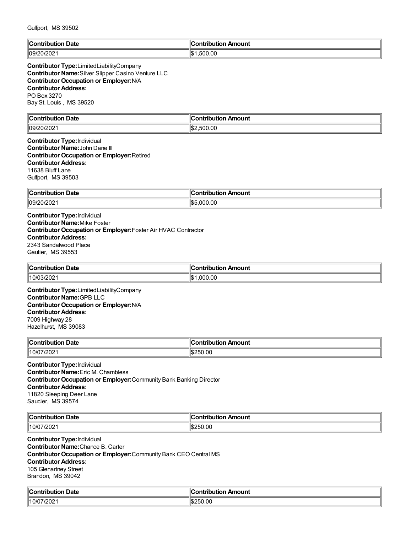| $\mathbb{R}$<br>Date<br>:ontributi<br><b>THE R. P. LEWIS CO., LANSING.</b><br>$\sim$ $\sim$ $\sim$ $\sim$ $\sim$ $\sim$ $\sim$ | ∶ontribution<br>Amount |
|--------------------------------------------------------------------------------------------------------------------------------|------------------------|
| $ 09/20/202\rangle$                                                                                                            | .500.00<br>١Φ          |

**Contributor Type:**LimitedLiabilityCompany **Contributor Name:**Silver Slipper Casino Venture LLC **Contributor Occupation or Employer:**N/A **Contributor Address:** PO Box 3270 Bay St. Louis , MS 39520

| $\mathbb{R}$<br>Date<br>.    | .<br>$\overline{\phantom{a}}$<br>$\sim$ compared to $\sim$<br><b>\mount</b><br>. |
|------------------------------|----------------------------------------------------------------------------------|
| $\sim$ $\sim$<br>∥∩႖∕<br>20Z | اا⊈.<br>500.00                                                                   |

**Contributor Type:**Individual **Contributor Name:**John Dane III **Contributor Occupation or Employer:**Retired **Contributor Address:** 11638 Bluff Lane Gulfport, MS 39503

| ∥Con<br>Date<br>uon<br>. | <b>mount</b><br>. <b>.</b><br>- - - |
|--------------------------|-------------------------------------|
| 09/20/202                | ۱¢<br>00.00<br>$\sim$ $\sim$<br>л   |

**Contributor Type:**Individual **Contributor Name:**Mike Foster **Contributor Occupation or Employer:**Foster Air HVAC Contractor **Contributor Address:** 2343 Sandalwood Place Gautier, MS 39553

| <b>Date</b><br>$\ $ Contribution | ontribution Amount |
|----------------------------------|--------------------|
| 10/0<br>13/20∠1                  | .000.00            |

**Contributor Type:**LimitedLiabilityCompany **Contributor Name:**GPB LLC **Contributor Occupation or Employer:**N/A **Contributor Address:** 7009 Highway 28 Hazelhurst, MS 39083

| ∥Con<br>Date<br>ribution | Amount<br>ontribution. |
|--------------------------|------------------------|
| 10/07/202′               | 250.00<br>.ה           |

**Contributor Type:**Individual **Contributor Name:**Eric M. Chambless **Contributor Occupation or Employer:**Community Bank Banking Director **Contributor Address:** 11820 Sleeping Deer Lane Saucier, MS 39574

| ∜Со.<br>Date<br>$\sim$ $\sim$ $\sim$ $\sim$<br>.<br>oution | <br>ontribution<br>n Amount |
|------------------------------------------------------------|-----------------------------|
| //202                                                      | 250.00                      |
| $^{\prime\prime}$ 10/ $\sigma$                             | $\mathbf{a}$                |

**Contributor Type:**Individual **Contributor Name:**Chance B. Carter **Contributor Occupation or Employer:**Community Bank CEO Central MS **Contributor Address:** 105 Glenartney Street Brandon, MS 39042

| $\mathbb{R}$<br>Date<br>.:ontributior<br>. | `ontribution<br>Amount |
|--------------------------------------------|------------------------|
| $10/07/202$ .                              | 1\$250.00              |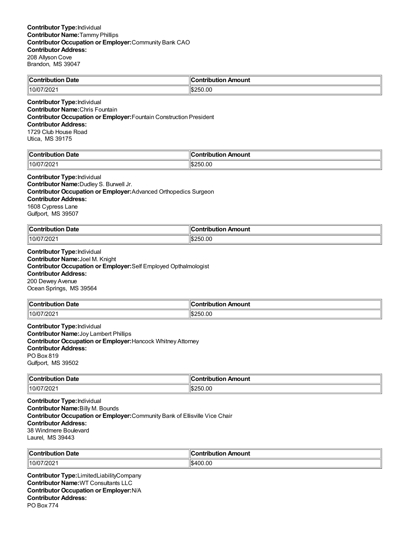| $\mathbb{I}$ C<br>Date<br>---- | Amount<br>.<br>. |
|--------------------------------|------------------|
| 10/                            | −0.00            |
| ZUZ.                           | ᄼ                |

**Contributor Type:**Individual **Contributor Name:**Chris Fountain **Contributor Occupation or Employer:**Fountain Construction President **Contributor Address:** 1729 Club House Road Utica, MS 39175

| ∥C⊾<br>Date<br>"Contributio∽<br> | `ontribution<br>ribution Amount |
|----------------------------------|---------------------------------|
| 10/07<br>7202                    | :50.00<br>ントー<br>л.             |

#### **Contributor Type:**Individual

**Contributor Name:**Dudley S. Burwell Jr. **Contributor Occupation or Employer:**Advanced Orthopedics Surgeon **Contributor Address:** 1608 Cypress Lane Gulfport, MS 39507

| $\mathsf{I}$     | <b>\mount</b> |
|------------------|---------------|
| Date             | .             |
| ----             | .             |
| .                | .             |
| 7/202<br>"10/07. | \$250.00      |

**Contributor Type:**Individual **Contributor Name:**Joel M. Knight **Contributor Occupation or Employer:**Self Employed Opthalmologist **Contributor Address:** 200 Dewey Avenue Ocean Springs, MS 39564

| ∜Contribution Date | `ontribution Amount |
|--------------------|---------------------|
| 10/07/202′         | \$250.00            |
|                    | ى‰"                 |

**Contributor Type:**Individual **Contributor Name:**Joy Lambert Phillips **Contributor Occupation or Employer:**Hancock Whitney Attorney **Contributor Address:** PO Box 819 Gulfport, MS 39502

| → Date            | Amount      |
|-------------------|-------------|
| <b>∣</b> Contribu | ontribution |
| . .oution         |             |
| 10/07/2021        | 1\$250.00   |

**Contributor Type:**Individual **Contributor Name:**Billy M. Bounds **Contributor Occupation or Employer:**Community Bank of Ellisville Vice Chair **Contributor Address:** 38 Windmere Boulevard Laurel, MS 39443

| Contribution<br>Date       | م ا<br>.<br>Amount<br>nouuor |
|----------------------------|------------------------------|
| $\sim$<br>110/0.<br>772021 | .00<br>1\$400                |

**Contributor Type:**LimitedLiabilityCompany **Contributor Name:**WT Consultants LLC **Contributor Occupation or Employer:**N/A **Contributor Address:** PO Box 774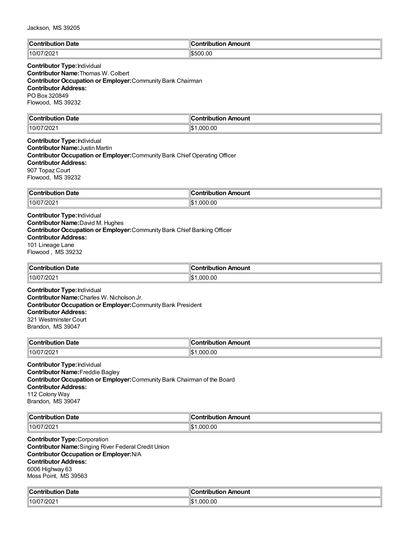| Jackson, MS 39205 |  |
|-------------------|--|
|-------------------|--|

| ∥Contri<br>Date<br>----- | 10<br>Amount<br>----<br>----<br> |
|--------------------------|----------------------------------|
| 10/0<br>"20∠             | ۱Ψ<br>.00<br>י<br>ı.n.           |

# **Contributor Type:**Individual **Contributor Name:**Thomas W. Colbert

**Contributor Occupation or Employer:**Community Bank Chairman **Contributor Address:** PO Box 320849 Flowood, MS 39232

| $\mathsf{C}$ ontribution<br>Date<br>ור                       | Amount<br>`antrihutian |
|--------------------------------------------------------------|------------------------|
| 10/07/<br>/2021<br>$\sim$ $\sim$ $\sim$ $\sim$ $\sim$ $\sim$ | 000.00,<br>∥\$         |

### **Contributor Type:**Individual **Contributor Name:**Justin Martin **Contributor Occupation or Employer:**Community Bank Chief Operating Officer **Contributor Address:** 907 Topaz Court Flowood, MS 39232

| $C$ ontribut<br>Date      | ∵ıti.<br><b>\moun\</b><br>---- |
|---------------------------|--------------------------------|
| $\frac{7}{202}$<br>10/07/ | .00<br>nnr<br>ה ו              |

#### **Contributor Type:**Individual **Contributor Name:**David M. Hughes **Contributor Occupation or Employer:**Community Bank Chief Banking Officer **Contributor Address:** 101 Lineage Lane Flowood , MS 39232

| Contribution<br>Date<br>$\sim$ $\sim$ $\sim$ $\sim$ $\sim$ $\sim$ $\sim$ | ontribution<br>ı Amount<br>.nn |
|--------------------------------------------------------------------------|--------------------------------|
| 10/07/2021∣                                                              | ۱\$۰<br>.000.00                |

**Contributor Type:**Individual **Contributor Name:**Charles W. Nicholson Jr. **Contributor Occupation or Employer:**Community Bank President **Contributor Address:** 321 Westminster Court Brandon, MS 39047

| $\mathsf{C}$ ontribution<br>Date<br>שט<br>nouuoi | ำntrihut.<br>Amount<br>.     |
|--------------------------------------------------|------------------------------|
| "10/07.<br>7/202                                 | .000.00<br>$\mathbf{A}$<br>υ |

**Contributor Type:**Individual **Contributor Name:**Freddie Bagley **Contributor Occupation or Employer:**Community Bank Chairman of the Board **Contributor Address:** 112 Colony Way Brandon, MS 39047

| llC.<br><b>Date</b><br>----<br>. | -------<br>าount<br>----<br><b><i><u>But an and</u></i></b><br>. |
|----------------------------------|------------------------------------------------------------------|
| ാറാ<br>110/<br>- UZ              | ۱\$∙<br>$\sim$<br>nnr<br>.ul<br>$  -$                            |

**Contributor Type:**Corporation **Contributor Name:**Singing River Federal Credit Union **Contributor Occupation or Employer:**N/A **Contributor Address:** 6006 Highway 63 Moss Point, MS 39563

| ∥Cω<br>າ Date<br><b>Contribution</b> | <b>Contribution Amount</b> |
|--------------------------------------|----------------------------|
| $10/07/202$ .                        | ∥\$∶<br>.000.00            |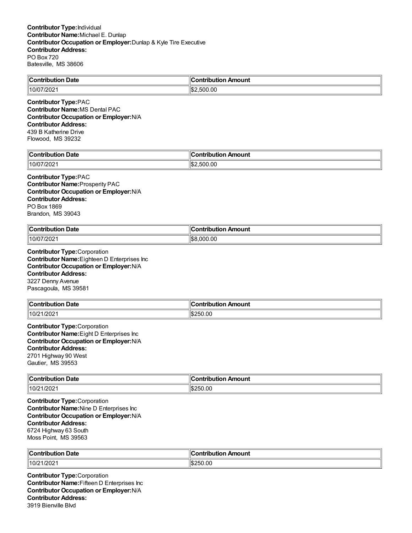| llC<br>Date<br><b>SAMP</b><br>-----<br>. <b>. .</b><br>$ -$ | .<br>mtrihut<br>Amount |
|-------------------------------------------------------------|------------------------|
| 10/<br>20Z                                                  | .00                    |

**Contributor Type:**PAC **Contributor Name:**MS Dental PAC **Contributor Occupation or Employer:**N/A **Contributor Address:** 439 B Katherine Drive Flowood, MS 39232

| <b>Date</b><br>م ا<br><b>Contribution</b> | Contribution Amount |
|-------------------------------------------|---------------------|
| 10/07/2021                                | ' \$2<br>:500.00    |

#### **Contributor Type:**PAC **Contributor Name:**Prosperity PAC **Contributor Occupation or Employer:**N/A **Contributor Address:** PO Box 1869 Brandon, MS 39043

| llC.<br>. .<br>Date<br>.<br>. | Amount<br>:ontribution |
|-------------------------------|------------------------|
| 7/202                         | " \$8                  |
| 10/C                          | .000.00                |

**Contributor Type:**Corporation **Contributor Name:**Eighteen D Enterprises Inc **Contributor Occupation or Employer:**N/A **Contributor Address:** 3227 Denny Avenue Pascagoula, MS 39581

| <b>Contribution</b> | :ontribution                              |
|---------------------|-------------------------------------------|
| Date                | Amount                                    |
| .                   | $\sim$ $\sim$ $\sim$ $\sim$ $\sim$ $\sim$ |
| 10/21/2021          | 1\$250.00<br>ىدا'                         |

**Contributor Type:**Corporation **Contributor Name:**Eight D Enterprises Inc **Contributor Occupation or Employer:**N/A **Contributor Address:** 2701 Highway 90 West Gautier, MS 39553

| $\ $ Contribution<br>Date<br>. | \mount           |
|--------------------------------|------------------|
| 10/21/2021                     | 0.0C<br>ılŒ<br>ᄼ |

**Contributor Type:**Corporation **Contributor Name:**Nine D Enterprises Inc **Contributor Occupation or Employer:**N/A **Contributor Address:** 6724 Highway 63 South Moss Point, MS 39563

| $\mathbb{R}$<br>Date<br>. | .<br>ouni |
|---------------------------|-----------|
| 10/2<br>1/202             | .OC       |

**Contributor Type:**Corporation **Contributor Name:**Fifteen D Enterprises Inc **Contributor Occupation or Employer:**N/A **Contributor Address:** 3919 Bienville Blvd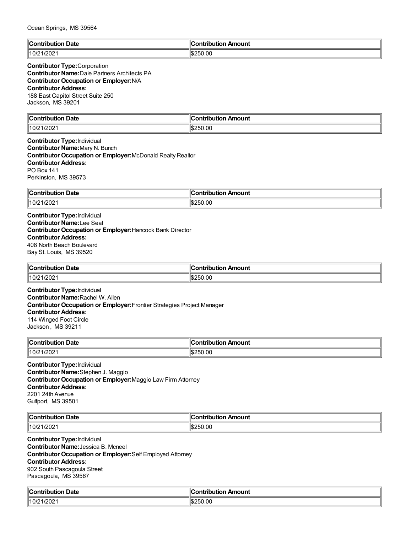| $\ $ Contribution<br>Date | ution Amount<br>`ontribution<br>' IVL |
|---------------------------|---------------------------------------|
| 1202 <sup>2</sup><br>.10/ | $\frac{1}{2}$ \$250.00                |

## **Contributor Type:**Corporation

**Contributor Name:**Dale Partners Architects PA **Contributor Occupation or Employer:**N/A **Contributor Address:** 188 East Capitol Street Suite 250 Jackson, MS 39201

| ∥Conti                                    | `ontribution  |
|-------------------------------------------|---------------|
| Date                                      | Amount        |
| .                                         |               |
| $\sim$ $\sim$ $\sim$ $\sim$ $\sim$ $\sim$ | $\sim$ $\sim$ |
| /202<br>10 <sup>r</sup>                   | ll\$250.00    |

**Contributor Type:**Individual **Contributor Name:**Mary N. Bunch **Contributor Occupation or Employer:**McDonald Realty Realtor **Contributor Address:** PO Box 141 Perkinston, MS 39573

| ∥Con        | ribution Amount |
|-------------|-----------------|
| <b>Date</b> | . . <b>.</b>    |
| ribution    | ∴on.            |
| 10/21       | .00             |
| $1/202^4$   | ∍ا∂ا،           |
|             | יי              |

**Contributor Type:**Individual **Contributor Name:**Lee Seal **Contributor Occupation or Employer:**Hancock Bank Director **Contributor Address:** 408 North Beach Boulevard Bay St. Louis, MS 39520

| $\mathsf{C}$ ontribution  | .IC              |
|---------------------------|------------------|
| າ Date                    | ribution Amount  |
| ribuuor                   | a mbuila mbi a m |
| וטטו                      | 1 I LI           |
| $\parallel$ 10/21<br>/202 | \$250.00         |

**Contributor Type:**Individual **Contributor Name:**Rachel W. Allen **Contributor Occupation or Employer:**Frontier Strategies Project Manager **Contributor Address:** 114 Winged Foot Circle Jackson , MS 39211

| llCoi<br>Date<br>$\sim$ $\sim$ $\sim$ | "<br>าount<br>----<br>----<br>- - - |
|---------------------------------------|-------------------------------------|
| 10/2<br>1/202<br>_____                | ۱¢<br>$\sim$<br>.UC<br>יי<br>Ŀв.    |

**Contributor Type:**Individual **Contributor Name:**Stephen J. Maggio **Contributor Occupation or Employer:**Maggio Law Firm Attorney **Contributor Address:** 2201 24th Avenue Gulfport, MS 39501

| ∥Cor<br>Date<br>.<br>vuuo. | . .<br>Amount<br>ontribution |
|----------------------------|------------------------------|
| $\parallel$ 10/2           | 250.00                       |
| 1/202                      | ግኩራ                          |

**Contributor Type:**Individual **Contributor Name:**Jessica B. Mcneel **Contributor Occupation or Employer:**Self Employed Attorney **Contributor Address:** 902 South Pascagoula Street Pascagoula, MS 39567

| $\mathbb{C}$<br>Date<br>`ontribi<br>utior<br>$ -$ | Amount<br>.       |
|---------------------------------------------------|-------------------|
| 1/202<br>  10/21                                  | ١¢۰<br>.00<br>בונ |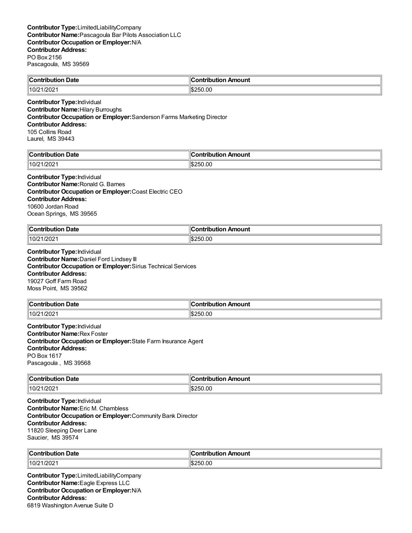| ∥Con<br>Date<br>. | 10<br>.<br>mount<br>---<br>---- |
|-------------------|---------------------------------|
| 1000              | ורים⊪                           |
| 10/2              | 0.00                            |
| /2021             | יי                              |
|                   | ı.в.                            |

#### **Contributor Type:**Individual **Contributor Name:**Hilary Burroughs **Contributor Occupation or Employer:**Sanderson Farms Marketing Director **Contributor Address:** 105 Collins Road Laurel, MS 39443

| llC.               | Amount         |
|--------------------|----------------|
| `∩n'               | .              |
| Jate               | -------        |
| .                  | . <del>.</del> |
| .                  |                |
| $10/21/202$ .<br>. | 50.00          |

#### **Contributor Type:**Individual **Contributor Name:**Ronald G. Barnes **Contributor Occupation or Employer:**Coast Electric CEO **Contributor Address:** 10600 Jordan Road

Ocean Springs, MS 39565

| ∥Coı<br><b>Date</b><br>a mbuila mbi a m<br>. | ` ^ntrihut⊪.<br>Amount |
|----------------------------------------------|------------------------|
| 10/21<br>1/2021                              | 1\$250.00              |

**Contributor Type:**Individual **Contributor Name:**Daniel Ford Lindsey III **Contributor Occupation or Employer:**Sirius Technical Services **Contributor Address:** 19027 Goff Farm Road Moss Point, MS 39562

| <b>Contribution Date</b>    | <b>Contribution Amount</b> |
|-----------------------------|----------------------------|
| $\parallel$ 10/21<br>1/202' | 250.00ء                    |

**Contributor Type:**Individual **Contributor Name:**Rex Foster **Contributor Occupation or Employer:**State Farm Insurance Agent **Contributor Address:** PO Box 1617 Pascagoula , MS 39568

| ∥Coi<br>Date<br>. |                |
|-------------------|----------------|
| 110/2<br>1/2021   | 00<br>۱C<br>,, |

**Contributor Type:**Individual **Contributor Name:**Eric M. Chambless **Contributor Occupation or Employer:**Community Bank Director **Contributor Address:** 11820 Sleeping Deer Lane Saucier, MS 39574

| Contribution<br>Date | æ<br>antuiku man<br>ıtion Amount<br>noui |
|----------------------|------------------------------------------|
| //10/21/202          | 250.00<br>⊿ات<br>ייי                     |

**Contributor Type:**LimitedLiabilityCompany **Contributor Name:**Eagle Express LLC **Contributor Occupation or Employer:**N/A **Contributor Address:** 6819 Washington Avenue Suite D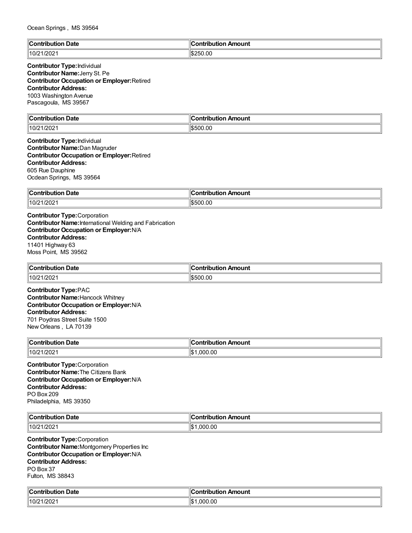| llC<br>Date<br>ം : വെ <sup>ക്ക</sup><br>'ibution | Amount<br><b>Contribution</b> |
|--------------------------------------------------|-------------------------------|
| $\parallel$ 10/21/2021                           | \$250.00<br>l DZ              |

### **Contributor Type:**Individual **Contributor Name:**Jerry St. Pe **Contributor Occupation or Employer:**Retired **Contributor Address:** 1003 Washington Avenue Pascagoula, MS 39567

| $\ $ Contribution<br>Date   | Amount<br>:ontribution<br>. TIDULION . |
|-----------------------------|----------------------------------------|
| 1/202'<br>$\parallel$ 10/21 | \$500.00                               |

### **Contributor Type:**Individual **Contributor Name:**Dan Magruder **Contributor Occupation or Employer:**Retired **Contributor Address:** 605 Rue Dauphine Ocdean Springs, MS 39564

| ∥Con  | Amount |
|-------|--------|
| Date  | ----   |
| .     | .      |
| .     | IDU    |
| 10/21 | ገ0.00  |
| 1/202 | ำ∩∿    |
|       | וו ורי |

**Contributor Type:**Corporation **Contributor Name:**International Welding and Fabrication **Contributor Occupation or Employer:**N/A **Contributor Address:** 11401 Highway 63 Moss Point, MS 39562

| ∣∣ี<br>Date<br>∵ontribution :<br>. | ı<br>Amount<br>----<br>. |
|------------------------------------|--------------------------|
| 10/21<br>1/202                     | 1\$500.00                |

**Contributor Type:**PAC **Contributor Name:**Hancock Whitney **Contributor Occupation or Employer:**N/A **Contributor Address:** 701 Poydras Street Suite 1500 New Orleans , LA 70139

| ∣∣ี                             | Amount                   |
|---------------------------------|--------------------------|
| Date                            | --------                 |
| `ontribution                    | ---                      |
| שטו                             | ΊD                       |
| 10/21<br>$\sqrt{2}$<br>. 1/2021 | 00.00<br>Ш¢<br>იიი<br>ЫJ |

**Contributor Type:**Corporation **Contributor Name:**The Citizens Bank **Contributor Occupation or Employer:**N/A **Contributor Address:** PO Box 209 Philadelphia, MS 39350

| llC.<br><b>Date</b><br>`antributian | Contribution<br>า Amount |
|-------------------------------------|--------------------------|
| 1/202<br>10/7<br>ZUZ                | .000.00<br>١¢            |

**Contributor Type:**Corporation **Contributor Name:**Montgomery Properties Inc **Contributor Occupation or Employer:**N/A **Contributor Address:** PO Box 37 Fulton, MS 38843

| Date         | <b>Contribution</b> |
|--------------|---------------------|
| :ontribution | Amount              |
| IVI          | ribuuon <i>r</i>    |
| .            |                     |
| 10/21/2021   | .000.00<br>llo      |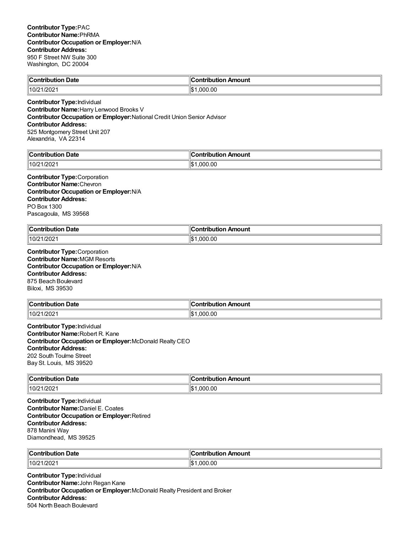| ∥Coi<br>. .<br>Date<br>antrihutian | Amount<br>۔ontributiorن۔ |
|------------------------------------|--------------------------|
| 10/2                               | 0.00                     |
| 1/2021                             | റററ                      |

**Contributor Type:**Individual **Contributor Name:**Harry Lenwood Brooks V **Contributor Occupation or Employer:**National Credit Union Senior Advisor **Contributor Address:** 525 Montgomery Street Unit 207 Alexandria, VA 22314

| <b>Contribution Date</b> | Contribution Amount |
|--------------------------|---------------------|
| 10/21/2021               | ∥\$։<br>.000.00     |

**Contributor Type:**Corporation **Contributor Name:**Chevron **Contributor Occupation or Employer:**N/A **Contributor Address:** PO Box 1300 Pascagoula, MS 39568

| llCo⊫<br>Date<br>.<br><b>JUTIOL</b><br>. | Amount<br>. <b>.</b><br>טו<br>$\sim$ $\sim$ $\sim$ $\sim$ $\sim$ |
|------------------------------------------|------------------------------------------------------------------|
| 10/21<br>1/2021                          | ll₾<br>.00<br>. nnr<br>ЫJ                                        |

**Contributor Type:**Corporation **Contributor Name:**MGM Resorts **Contributor Occupation or Employer:**N/A **Contributor Address:** 875 Beach Boulevard Biloxi, MS 39530

| ∥Coi                       | Amount                 |
|----------------------------|------------------------|
| <b>Date</b>                | . <b>.</b>             |
| a sa baile cuite a sa -    | ----                   |
| 10/2<br>1/202 <sup>.</sup> | .00<br>⊪¢<br>nni<br>ЫJ |

**Contributor Type:**Individual **Contributor Name:**Robert R. Kane **Contributor Occupation or Employer:**McDonald Realty CEO **Contributor Address:** 202 South Toulme Street Bay St. Louis, MS 39520

| ∥Cor        | Amount         |
|-------------|----------------|
| Date        | utior          |
| ontribution | — ∴∩ntrih≏     |
| .           |                |
| 10/21/2021  | 1.000.00<br>ïЪ |

**Contributor Type:**Individual **Contributor Name:**Daniel E. Coates **Contributor Occupation or Employer:**Retired **Contributor Address:** 878 Manini Way Diamondhead, MS 39525

| $\mathsf{C}\mathsf{on}$<br><b>Date</b><br>----------<br>טע<br>. | Amount<br>.<br>,,,<br>___ |
|-----------------------------------------------------------------|---------------------------|
| 10/21<br>/202                                                   | .00<br>റററ<br>۱\$∙        |

**Contributor Type:**Individual **Contributor Name:**John Regan Kane **Contributor Occupation or Employer:**McDonald Realty President and Broker **Contributor Address:** 504 North Beach Boulevard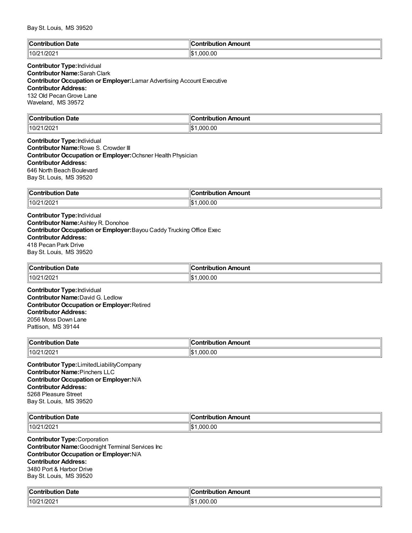| llC<br><b>Date</b><br>∴∩nt<br>----<br>nn<br>יייים | .<br>Amount<br>'ion |
|---------------------------------------------------|---------------------|
| $\parallel$ 10/21/2021                            | .000.00<br>llor     |

# **Contributor Type:**Individual

**Contributor Name:**Sarah Clark

**Contributor Occupation or Employer:**Lamar Advertising Account Executive **Contributor Address:** 132 Old Pecan Grove Lane Waveland, MS 39572

| llC.<br>າ Date<br><b>Contribution</b> | ribution Amount:<br>:ontribution |
|---------------------------------------|----------------------------------|
| 1/202'<br>  10/21                     | 000.00.<br>1\$                   |

## **Contributor Type:**Individual **Contributor Name:**Rowe S. Crowder III **Contributor Occupation or Employer:**Ochsner Health Physician **Contributor Address:** 646 North Beach Boulevard Bay St. Louis, MS 39520

| ∥Con  | Amount  |
|-------|---------|
| Date  | $   -$  |
| .     | ---     |
| .     | ----    |
| .     |         |
| 10/21 | 11\$    |
| 1/202 | .000.00 |

**Contributor Type:**Individual **Contributor Name:**Ashley R. Donohoe **Contributor Occupation or Employer:**Bayou Caddy Trucking Office Exec **Contributor Address:** 418 Pecan Park Drive Bay St. Louis, MS 39520

| Contribution Date | ∶ontribution Amount |
|-------------------|---------------------|
| 10/21             | 0.000.00            |
| 1/202             | $\mathbf{A}$        |

**Contributor Type:**Individual **Contributor Name:**David G. Ledlow **Contributor Occupation or Employer:**Retired **Contributor Address:** 2056 Moss Down Lane Pattison, MS 39144

| $^{\circ}$ Contribution $\cdots$<br>Date<br>, ibuuor<br>. | n Amount<br>ontribution |
|-----------------------------------------------------------|-------------------------|
| 1/2021<br>10/21                                           | .000.00                 |

**Contributor Type:**LimitedLiabilityCompany **Contributor Name:**Pinchers LLC **Contributor Occupation or Employer:**N/A **Contributor Address:** 5268 Pleasure Street Bay St. Louis, MS 39520

| $\ C_1$<br>Date<br>$-$<br>tribution<br>10u | n Amount<br>.<br>יטו |
|--------------------------------------------|----------------------|
| /202                                       | .00                  |
| 10/21                                      | 11.S                 |
|                                            | nnı                  |

**Contributor Type:**Corporation **Contributor Name:**Goodnight Terminal Services Inc **Contributor Occupation or Employer:**N/A **Contributor Address:** 3480 Port & Harbor Drive Bay St. Louis, MS 39520

| `ontribution Date | ∥Contribution Amount |
|-------------------|----------------------|
| 10/21/2021        | ∣₼<br>.000.00<br>ıъ  |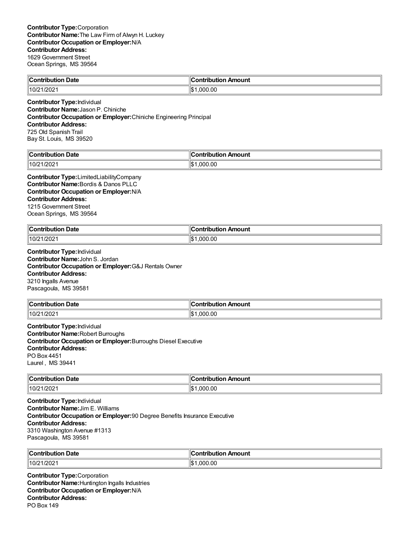| ∥Cω<br>ı Date<br>$\sim$ 0.0 $\sim$<br>tribution | on Amount<br>.<br>יטו |
|-------------------------------------------------|-----------------------|
| 1/202<br>  10/21                                | Ш¢<br>.00<br>nnr      |

**Contributor Type:**Individual **Contributor Name:**Jason P. Chiniche **Contributor Occupation or Employer:**Chiniche Engineering Principal **Contributor Address:** 725 Old Spanish Trail Bay St. Louis, MS 39520

| $\ $ Contribut | ribution Amount |
|----------------|-----------------|
| ribution Date  | Contrٽ          |
| 10/21/2021     | ∥\$∙<br>.000.00 |

**Contributor Type:**LimitedLiabilityCompany **Contributor Name:**Bordis & Danos PLLC **Contributor Occupation or Employer:**N/A **Contributor Address:** 1215 Government Street Ocean Springs, MS 39564

| <b>Contribution Date</b> | Contribution Amount |
|--------------------------|---------------------|
| 10/21/2021               | 00.000.1<br>$H$ .   |

**Contributor Type:**Individual **Contributor Name:**John S. Jordan **Contributor Occupation or Employer:**G&J Rentals Owner **Contributor Address:** 3210 Ingalls Avenue Pascagoula, MS 39581

| ∥Con'<br><b>Date</b><br>tribution | Amount<br><b>∠ontributio</b> r |
|-----------------------------------|--------------------------------|
| 10/21<br>1/202                    | 000.00. ا<br>ιъ                |

**Contributor Type:**Individual **Contributor Name:**Robert Burroughs **Contributor Occupation or Employer:**Burroughs Diesel Executive **Contributor Address:** PO Box 4451 Laurel , MS 39441

| $\mathsf{I}\mathsf{I}\mathsf{C}$<br>Date<br>----<br>. |                         |
|-------------------------------------------------------|-------------------------|
| 110/2<br>1/2021                                       | ⊪¢<br>.00<br>ററ<br>الحل |

**Contributor Type:**Individual **Contributor Name:**Jim E. Williams **Contributor Occupation or Employer:**90 Degree Benefits Insurance Executive **Contributor Address:** 3310 Washington Avenue #1313 Pascagoula, MS 39581

| ∥Contribut<br>Date<br>----<br>.ribution | ontribution Amount |
|-----------------------------------------|--------------------|
| /202                                    | .000.00            |
| 10/21                                   | ∥\$։               |

**Contributor Type:**Corporation **Contributor Name:**Huntington Ingalls Industries **Contributor Occupation or Employer:**N/A **Contributor Address:** PO Box 149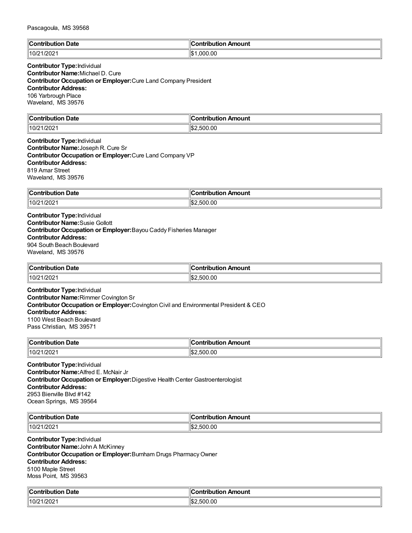| $\mathbb{I}$ C<br><b>Date</b><br>an tanàna amin'ny<br>M 11.<br>. | Amount<br><b>CONTRIBUTION</b> |
|------------------------------------------------------------------|-------------------------------|
| 10/21/2021                                                       | .000.00<br>'ነው 4<br>IФ        |

### **Contributor Type:**Individual **Contributor Name:**Michael D. Cure **Contributor Occupation or Employer:**Cure Land Company President **Contributor Address:** 106 Yarbrough Place Waveland, MS 39576

| $\mathbb{I}$ C<br>Date<br>-----<br>utior.<br>. | Amount<br>- -- --<br>---- |
|------------------------------------------------|---------------------------|
| /202<br>  10/21                                | .00<br>∥\$.<br>. .<br>50  |

### **Contributor Type:**Individual **Contributor Name:**Joseph R. Cure Sr **Contributor Occupation or Employer:**Cure Land Company VP **Contributor Address:** 819 Amar Street Waveland, MS 39576

| Contributi<br><b>Date</b><br>$ -$ | Amount<br>.<br>---<br>ΊD<br>$\sim$ $\sim$ $\sim$ $\sim$ $\sim$ $\sim$ |
|-----------------------------------|-----------------------------------------------------------------------|
| 10/21/2021                        | ۳⊅∥<br>.500.00                                                        |

**Contributor Type:**Individual **Contributor Name:**Susie Gollott **Contributor Occupation or Employer:**Bayou Caddy Fisheries Manager **Contributor Address:** 904 South Beach Boulevard Waveland, MS 39576

| ∥Cont<br><b>Date</b><br>tribution | ontribution<br>n Amount |
|-----------------------------------|-------------------------|
| 1/202                             | .00                     |
| 10/21                             | 500                     |

**Contributor Type:**Individual **Contributor Name:**Rimmer Covington Sr **Contributor Occupation or Employer:**Covington Civil and Environmental President & CEO **Contributor Address:** 1100 West Beach Boulevard Pass Christian, MS 39571

| $\mathsf{C}$ ontribution<br>Date<br>nouuor<br>וטט | Amount<br>ำntrihut⊾<br>. |
|---------------------------------------------------|--------------------------|
| 10/21/2021                                        | .500.00<br>$H$ .         |

**Contributor Type:**Individual **Contributor Name:**Alfred E. McNair Jr **Contributor Occupation or Employer:**Digestive Health Center Gastroenterologist **Contributor Address:** 2953 Bienville Blvd #142 Ocean Springs, MS 39564

| $\mathsf{C}$ ontributi     | .                           |
|----------------------------|-----------------------------|
| Date                       | Amount                      |
| 10/2<br>1/202 <sup>4</sup> | $\sim$<br>'IS:<br>500<br>wu |

**Contributor Type:**Individual **Contributor Name:**John A McKinney **Contributor Occupation or Employer:**Burnham Drugs Pharmacy Owner **Contributor Address:** 5100 Maple Street Moss Point, MS 39563

| ı<br>Date<br>∴contributio∽<br>$\sim$ $\sim$ $\sim$ $\sim$ $\sim$ $\sim$ | <b>CONTRIGUER</b><br>Amount |
|-------------------------------------------------------------------------|-----------------------------|
| 10/21/2021                                                              | \$2.500.00                  |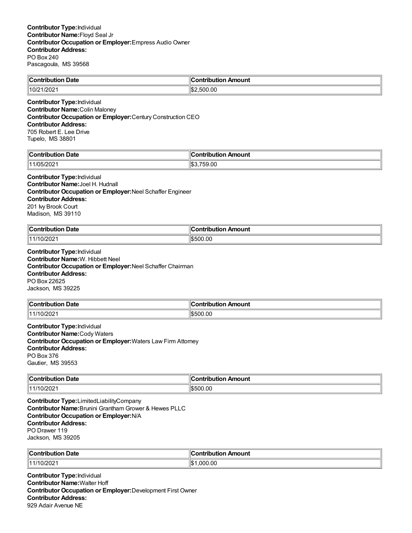| llC<br>Jate<br>∴ontribur<br>----<br>. | 10<br>---<br>mouni<br>----<br>--- |
|---------------------------------------|-----------------------------------|
| 10/2                                  | ll\$:                             |
| :1/2021                               | .00                               |

**Contributor Type:**Individual **Contributor Name:**Colin Maloney **Contributor Occupation or Employer:**Century Construction CEO **Contributor Address:** 705 Robert E. Lee Drive Tupelo, MS 38801

| <b>Contribution Date</b>  | .<br>Contribution Amount |
|---------------------------|--------------------------|
| ;/2N2^<br>1111 IOF<br>∠∪∠ | ∥\$:<br>759.00           |

#### **Contributor Type:**Individual **Contributor Name:**Joel H. Hudnall

**Contributor Occupation or Employer:**Neel Schaffer Engineer **Contributor Address:** 201 Ivy Brook Court

Madison, MS 39110

| llC.<br>Date<br>$\sim$ $\sim$ $\sim$ $\sim$<br>.<br>$\sim$ $\sim$ $\sim$ $\sim$ $\sim$ $\sim$ | ` ^ntrih⊔t⊪<br>Amount |
|-----------------------------------------------------------------------------------------------|-----------------------|
| 0/202<br>144<br>                                                                              | 1\$500.00             |

**Contributor Type:**Individual **Contributor Name:**W. Hibbett Neel **Contributor Occupation or Employer:**Neel Schaffer Chairman **Contributor Address:** PO Box 22625 Jackson, MS 39225

| <b>Contribution Date</b> | <b>Contributio</b> r<br>n Amount |
|--------------------------|----------------------------------|
| $\parallel$ 11/10/2021   | \$500.00                         |

**Contributor Type:**Individual **Contributor Name:**Cody Waters **Contributor Occupation or Employer:**Waters Law Firm Attorney **Contributor Address:** PO Box 376 Gautier, MS 39553

| ∥Coı<br>Date<br>.<br>. | 10<br>าounเ<br>- -- -<br>---<br>. . |
|------------------------|-------------------------------------|
| 0/202<br>(14.414)      | ∣∣∩∿<br>.00<br>י                    |

**Contributor Type:**LimitedLiabilityCompany **Contributor Name:**Brunini Grantham Grower & Hewes PLLC **Contributor Occupation or Employer:**N/A **Contributor Address:** PO Drawer 119 Jackson, MS 39205

| ∜Con           | Amount             |
|----------------|--------------------|
| Date           | .                  |
| ----------     | JULIU              |
| .              | ___                |
| 0/202<br>14414 | റററ<br>.00<br>۱\$∙ |

**Contributor Type:**Individual **Contributor Name:**Walter Hoff **Contributor Occupation or Employer:**Development First Owner **Contributor Address:** 929 Adair Avenue NE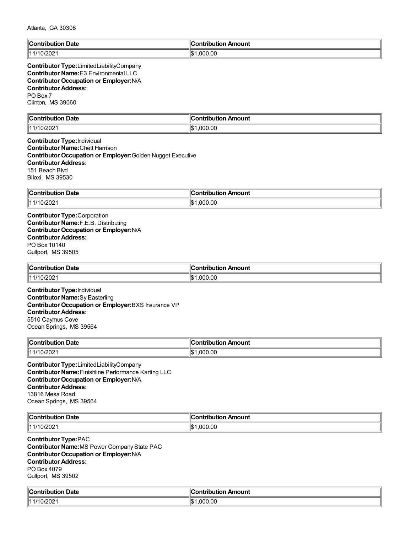| <b>Contribution Date</b>                                                                                                                                                                                                                                                                                                                                  | <b>Contribution Amount</b>               |
|-----------------------------------------------------------------------------------------------------------------------------------------------------------------------------------------------------------------------------------------------------------------------------------------------------------------------------------------------------------|------------------------------------------|
| 11/10/2021                                                                                                                                                                                                                                                                                                                                                | \$1,000.00                               |
| Contributor Type:LimitedLiabilityCompany<br><b>Contributor Name:</b> E3 Environmental LLC<br><b>Contributor Occupation or Employer: N/A</b><br><b>Contributor Address:</b><br>PO Box 7<br>Clinton, MS 39060                                                                                                                                               |                                          |
| <b>Contribution Date</b><br>11/10/2021                                                                                                                                                                                                                                                                                                                    | <b>Contribution Amount</b><br>\$1,000.00 |
| <b>Contributor Type: Individual</b><br><b>Contributor Name: Chett Harrison</b><br><b>Contributor Occupation or Employer: Golden Nugget Executive</b><br><b>Contributor Address:</b><br>151 Beach Blvd<br>Biloxi, MS 39530                                                                                                                                 |                                          |
| <b>Contribution Date</b>                                                                                                                                                                                                                                                                                                                                  | <b>Contribution Amount</b>               |
| 11/10/2021                                                                                                                                                                                                                                                                                                                                                | \$1,000.00                               |
| <b>Contributor Occupation or Employer: N/A</b><br><b>Contributor Address:</b><br>PO Box 10140<br>Gulfport, MS 39505<br><b>Contribution Date</b><br>11/10/2021<br><b>Contributor Type: Individual</b><br><b>Contributor Name:</b> Sy Easterling<br>Contributor Occupation or Employer: BXS Insurance VP<br><b>Contributor Address:</b><br>5510 Caymus Cove | <b>Contribution Amount</b><br>\$1,000.00 |
| Ocean Springs, MS 39564                                                                                                                                                                                                                                                                                                                                   |                                          |
| <b>Contribution Date</b>                                                                                                                                                                                                                                                                                                                                  | <b>Contribution Amount</b>               |
| 11/10/2021                                                                                                                                                                                                                                                                                                                                                | \$1,000.00                               |
| Contributor Type:LimitedLiabilityCompany<br><b>Contributor Name: Finishline Performance Karting LLC</b><br><b>Contributor Occupation or Employer: N/A</b><br><b>Contributor Address:</b><br>13816 Mesa Road<br>Ocean Springs, MS 39564                                                                                                                    |                                          |
| <b>Contribution Date</b>                                                                                                                                                                                                                                                                                                                                  | <b>Contribution Amount</b>               |
| 11/10/2021                                                                                                                                                                                                                                                                                                                                                | \$1,000.00                               |
| <b>Contributor Type:PAC</b><br>Contributor Name: MS Power Company State PAC<br><b>Contributor Occupation or Employer: N/A</b><br><b>Contributor Address:</b><br>PO Box 4079<br>Gulfport, MS 39502                                                                                                                                                         |                                          |

| <b>Contribution</b><br><b>Date</b><br>. | Amount<br>- néributki or<br>,,, |
|-----------------------------------------|---------------------------------|
| $\ $ 11/10/2021                         | ۱¢۰<br>.000<br>.00<br>ыD        |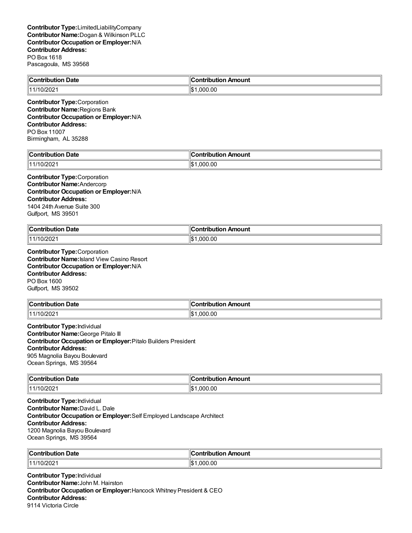| <b>Contribution Date</b>                                    | $\ $ Contribution Amount |
|-------------------------------------------------------------|--------------------------|
| 11/10/2021                                                  | ۱\$'<br>0.000.00         |
| ________<br>the contract of the contract of the contract of |                          |

**Contributor Type:**Corporation **Contributor Name:**Regions Bank **Contributor Occupation or Employer:**N/A **Contributor Address:** PO Box 11007 Birmingham, AL 35288

| -16<br>ribution Date.<br>`ontribution | :ontribution<br>ribution Amount |
|---------------------------------------|---------------------------------|
| 0/202                                 | ∥\$<br>.000.00                  |

#### **Contributor Type:**Corporation **Contributor Name:**Andercorp **Contributor Occupation or Employer:**N/A **Contributor Address:** 1404 24th Avenue Suite 300 Gulfport, MS 39501

| ∥Coı<br>Date<br>ontribution<br>. | a www.com<br>Amount<br>utior.<br>ΊD |
|----------------------------------|-------------------------------------|
| 11/10/2021                       | ∥\$<br>.000.00                      |

**Contributor Type:**Corporation **Contributor Name:**Island View Casino Resort **Contributor Occupation or Employer:**N/A **Contributor Address:** PO Box 1600 Gulfport, MS 39502

| ∥Con'<br><b>Date</b><br>tribution | Amount<br><b>⊿ontributio</b> r |
|-----------------------------------|--------------------------------|
| 11/10/2021                        | 000.00. ا                      |
|                                   | ιъ                             |

**Contributor Type:**Individual **Contributor Name:**George Pitalo III **Contributor Occupation or Employer:**Pitalo Builders President **Contributor Address:** 905 Magnolia Bayou Boulevard Ocean Springs, MS 39564

| <b>Contribution</b><br>ำ Date | ontribution Amount |
|-------------------------------|--------------------|
| $\parallel$ 11/10/2021        | .000.00            |

**Contributor Type:**Individual **Contributor Name:**David L. Dale **Contributor Occupation or Employer:**Self Employed Landscape Architect **Contributor Address:** 1200 Magnolia Bayou Boulevard Ocean Springs, MS 39564

| ∣∣ี<br><b>Date</b><br>, Contributio∽ | ntribution Amount<br>-------------- |
|--------------------------------------|-------------------------------------|
| 0/202<br>114414                      | .00<br>، \$ا'<br>nnn                |

**Contributor Type:**Individual **Contributor Name:**John M. Hairston **Contributor Occupation or Employer:**Hancock Whitney President & CEO **Contributor Address:** 9114 Victoria Circle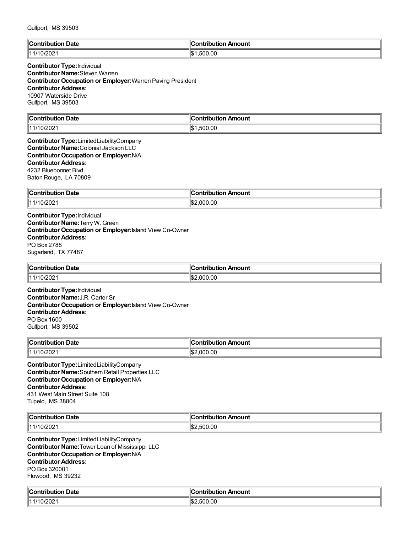| ∥C:<br>Date<br>.<br>---------<br>. | Amount<br>`ontribution<br>$\sim$ $\sim$ |
|------------------------------------|-----------------------------------------|
| 0/202<br>144                       | ∣≀≁<br>500.00<br>۱۱۵                    |

## **Contributor Type:**Individual **Contributor Name:**Steven Warren **Contributor Occupation or Employer:**Warren Paving President **Contributor Address:** 10907 Waterside Drive Gulfport, MS 39503

| ∥Conti<br>Date<br>.<br>. | 11<br>------<br>mount<br>---<br>----<br>пи |
|--------------------------|--------------------------------------------|
| 0/202                    | .500.00                                    |
| 111                      | ∥\$∶                                       |

**Contributor Type:**LimitedLiabilityCompany **Contributor Name:**Colonial Jackson LLC **Contributor Occupation or Employer:**N/A **Contributor Address:** 4232 Bluebonnet Blvd Baton Rouge, LA 70809

| ∥Con<br>Date<br>--------<br>חמו<br>. | <b>AAIIA</b><br>moun |
|--------------------------------------|----------------------|
| $\ $ 11/10/2021                      | .00<br>۱I¢<br>nnı    |

**Contributor Type:**Individual **Contributor Name:**Terry W. Green **Contributor Occupation or Employer:**Island View Co-Owner **Contributor Address:** PO Box 2788 Sugarland, TX 77487

| $\mathsf{M}$ ontribution $\mathsf{M}$<br>Date | đΓ<br>ribution Amount<br>. |
|-----------------------------------------------|----------------------------|
| 0/202<br>  441                                | .00<br>ეტტ<br>۱S.          |

**Contributor Type:**Individual **Contributor Name:**J.R. Carter Sr **Contributor Occupation or Employer:**Island View Co-Owner **Contributor Address:** PO Box 1600 Gulfport, MS 39502

| ∥Con<br><b>Date</b><br>.<br>юп<br>. | . .<br>ontribution<br>Amount |
|-------------------------------------|------------------------------|
| 11/10/2021                          | 000.00                       |

**Contributor Type:**LimitedLiabilityCompany **Contributor Name:**Southern Retail Properties LLC **Contributor Occupation or Employer:**N/A **Contributor Address:** 431 West Main Street Suite 108 Tupelo, MS 38804

| $\mathsf{I}$<br>Date<br>tuiku tiek<br>. | Amount<br>a miniha maan |
|-----------------------------------------|-------------------------|
| 14414<br>20Z<br>₩Z                      | 00.<br>וו ורי           |

**Contributor Type:**LimitedLiabilityCompany **Contributor Name:**Tower Loan of Mississippi LLC **Contributor Occupation or Employer:**N/A **Contributor Address:** PO Box 320001 Flowood, MS 39232

| . .<br>. Date<br>`ontribution<br>ributk<br>. | --<br>Amount<br>`ontribution |
|----------------------------------------------|------------------------------|
| 0/202                                        | 'l\$:<br>.500.00             |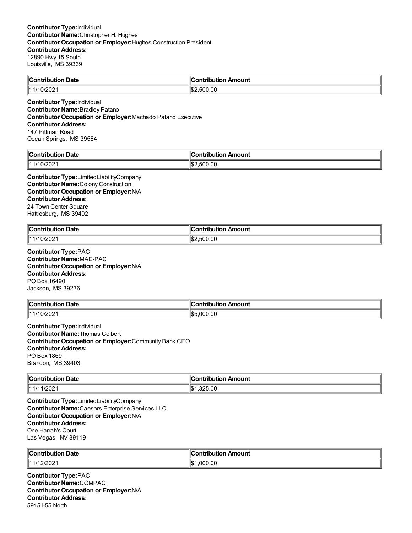| $\mathsf{C}$ ontribution<br><b>Date</b> | "<br>Amount<br>----                   |
|-----------------------------------------|---------------------------------------|
| - 1<br>◡▵                               | ll¢<br>$\sim$<br>- 1<br>.UU<br>וו ורי |

**Contributor Type:**Individual **Contributor Name:**Bradley Patano **Contributor Occupation or Employer:**Machado Patano Executive **Contributor Address:** 147 Pittman Road Ocean Springs, MS 39564

| $\ $ Contribut            | ∥Contr                          |
|---------------------------|---------------------------------|
| ribution Date             | ribution Amount                 |
| 10/202<br>$\overline{14}$ | 00.00<br>11 S.<br>`∩∩<br>וו ור: |

**Contributor Type:**LimitedLiabilityCompany **Contributor Name:**Colony Construction **Contributor Occupation or Employer:**N/A **Contributor Address:** 24 Town Center Square Hattiesburg, MS 39402

| <b>Contribution Date</b> | <br>ribution Amount               |
|--------------------------|-----------------------------------|
| 0/202<br>11111           | 00. (<br>∥\$:<br>$\sim$<br>וו ורי |

**Contributor Type:**PAC **Contributor Name:**MAE-PAC **Contributor Occupation or Employer:**N/A **Contributor Address:** PO Box 16490 Jackson, MS 39236

| $\ $ Contribution      | Amount                               |
|------------------------|--------------------------------------|
| <b>Date</b>            | →ntrihutu.                           |
|                        | .                                    |
| $\parallel$ 11/10/2021 | .00<br>$\overline{ }$<br>റററ<br>בשוי |

**Contributor Type:**Individual **Contributor Name:**Thomas Colbert **Contributor Occupation or Employer:**Community Bank CEO **Contributor Address:** PO Box 1869 Brandon, MS 39403

| ∥Cor<br>Date<br>.<br>JUUOI<br>. | Amount<br>--------- |
|---------------------------------|---------------------|
| 12021                           | ۱ΙФ۰                |
| 11111                           | $\Omega$            |
| 1720Z                           | ا سا                |
| $\mathbf{u}$                    | wu                  |

**Contributor Type:**LimitedLiabilityCompany **Contributor Name:**Caesars Enterprise Services LLC **Contributor Occupation or Employer:**N/A **Contributor Address:** One Harrah's Court Las Vegas, NV 89119

| 'IC∟<br>. Date<br>. | Amount<br>.<br>. |
|---------------------|------------------|
| $\sim$              | nnr              |
| 14414               | .00              |
| 20Z                 | ۱c⊵۰             |
| _____               | ۱JD              |

**Contributor Type:**PAC **Contributor Name:**COMPAC **Contributor Occupation or Employer:**N/A **Contributor Address:** 5915 I-55 North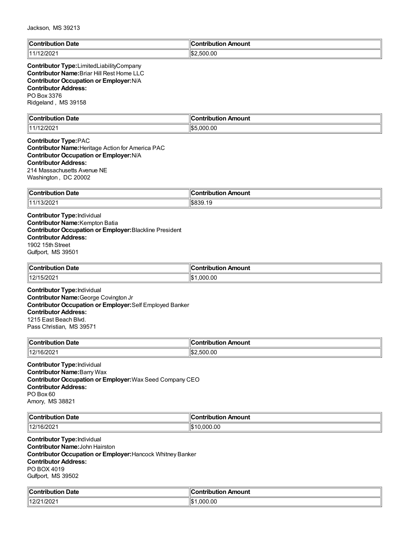| $\ $ Contribution<br>Date | Contribution Amount |
|---------------------------|---------------------|
| יממינ                     | ، ۱۳                |
| 1111                      | .500.00             |
| <b>LILVL</b>              | ەدا                 |

**Contributor Type:**LimitedLiabilityCompany **Contributor Name:**Briar Hill Rest Home LLC **Contributor Occupation or Employer:**N/A **Contributor Address:** PO Box 3376 Ridgeland , MS 39158

| $\mathbb{I} \mathbf{C}$<br>Date<br>`antribut<br>. | 's strike is<br>ribution Amount:<br>___ |
|---------------------------------------------------|-----------------------------------------|
| 1000<br>⊪4.<br>.<br>12/2021                       | .000.00<br>⊓⊄ה                          |

#### **Contributor Type:**PAC **Contributor Name:**Heritage Action for America PAC **Contributor Occupation or Employer:**N/A **Contributor Address:** 214 Massachusetts Avenue NE

Washington , DC 20002

| ∥Coi         | noun'     |
|--------------|-----------|
| Date         | ----      |
| -----        |           |
| .            |           |
| 14414<br>ے∪∠ | ۱Ψ<br>1 Q |

**Contributor Type:**Individual **Contributor Name:**Kempton Batia **Contributor Occupation or Employer:**Blackline President **Contributor Address:** 1902 15th Street Gulfport, MS 39501

| $\overline{\phantom{a}}$<br>$\blacksquare$ Contribution<br>ntribution Date | ∟ Amount ה<br>ontribution |
|----------------------------------------------------------------------------|---------------------------|
| 12/15/2021                                                                 | .000.00<br>הכו'           |

**Contributor Type:**Individual **Contributor Name:**George Covington Jr **Contributor Occupation or Employer:**Self Employed Banker **Contributor Address:** 1215 East Beach Blvd. Pass Christian, MS 39571

| ∣∣ี<br>Date<br>∴Contribution | Amount<br>--------<br>---<br>ΊD |
|------------------------------|---------------------------------|
| 111014                       | 00.00                           |
| 6/2021                       | 11.S.                           |
| 14                           | וו ורי                          |

**Contributor Type:**Individual **Contributor Name:**Barry Wax **Contributor Occupation or Employer:**Wax Seed Company CEO **Contributor Address:** PO Box 60 Amory, MS 38821

| ЧC∟<br>Date<br>$\sim$ $\sim$ $\sim$ $\sim$<br>. | ∵atribution <sub>rw</sub> …<br>Amount |
|-------------------------------------------------|---------------------------------------|
| encis<br>1401<br>٠n.<br>.vz                     | 10.00<br>м                            |

**Contributor Type:**Individual **Contributor Name:**John Hairston **Contributor Occupation or Employer:**Hancock Whitney Banker **Contributor Address:** PO BOX 4019 Gulfport, MS 39502

| llC<br>∴ont<br>Date<br>ihution | ∴^ntrihuti∩n<br>Amount<br>$\sim$ $\sim$ |
|--------------------------------|-----------------------------------------|
| 1/202                          | .000.00                                 |
| 40/04                          | ⊬ ⊅اا                                   |
| LLL                            | IФ                                      |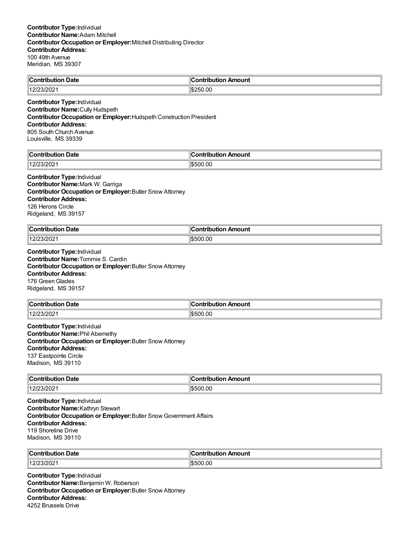| $\mathbb{I}$ C<br><br>Date<br>…`ontributior | $\epsilon$<br>Amount<br>`ontribution |
|---------------------------------------------|--------------------------------------|
| $II$ 100 ממיד<br>$-$ JIZUZ I                | $\frac{1}{2}$ \$250.00               |

**Contributor Type:**Individual **Contributor Name:**Cully Hudspeth **Contributor Occupation or Employer:**Hudspeth Construction President **Contributor Address:** 805 South Church Avenue Louisville, MS 39339

| <b>Contribution Date</b>       | `ontribution Amount |
|--------------------------------|---------------------|
| 1000<br>1400 <sup>2</sup><br>ີ | 00.00<br>וו ורי     |

#### **Contributor Type:**Individual **Contributor Name:**Mark W. Garriga **Contributor Occupation or Employer:**Butler Snow Attorney **Contributor Address:** 126 Herons Circle Ridgeland, MS 39157

| $\mathsf{C}$ ontribution<br><b>Date</b> | antrihut<br>Amount<br>$\cdots$ |
|-----------------------------------------|--------------------------------|
| 140 <sup>2</sup>                        | 500.00                         |
| 1000                                    | . ٨٠                           |
| 12/23/2021                              | ווויש                          |

**Contributor Type:**Individual **Contributor Name:**Tommie S. Cardin **Contributor Occupation or Employer:**Butler Snow Attorney **Contributor Address:** 176 Green Glades Ridgeland, MS 39157

| Contribution Date | ontribution<br>n Amount |
|-------------------|-------------------------|
| 140F<br>121231202 | 500.00;                 |

**Contributor Type:**Individual **Contributor Name:**Phil Abernethy **Contributor Occupation or Employer:**Butler Snow Attorney **Contributor Address:** 137 Eastpointe Circle Madison, MS 39110

| $\blacksquare$ Contribution  | Amount      |
|------------------------------|-------------|
| Date                         | ontribution |
| .                            |             |
| 110 D.Q<br>1000<br>12/23/202 | \$500.00    |

**Contributor Type:**Individual **Contributor Name:**Kathryn Stewart **Contributor Occupation or Employer:**Butler Snow Government Affairs **Contributor Address:** 119 Shoreline Drive Madison, MS 39110

| ∣∣ี            | ontribution |
|----------------|-------------|
| <b>Date</b>    | າ Amount    |
| , Contributio∽ | ∪onti       |
| 1400           | 0.0         |
| 23/202         | 'IS500      |

**Contributor Type:**Individual **Contributor Name:**Benjamin W. Roberson **Contributor Occupation or Employer:**Butler Snow Attorney **Contributor Address:** 4252 Brussels Drive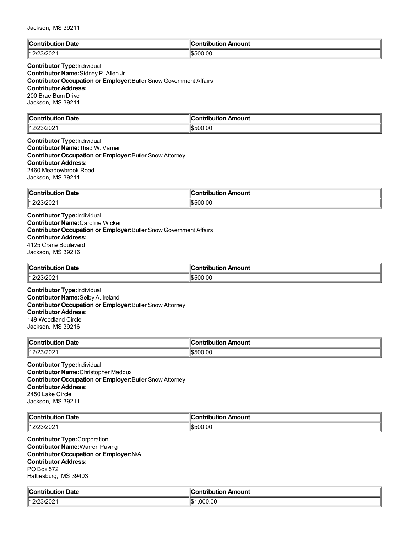| ി∩∩<br>Date<br>s vermile i mine ve<br>. | "<br>---<br>nount<br>----<br>----<br>. . |
|-----------------------------------------|------------------------------------------|
| 140K<br>1212312021                      | ۱œ<br>00.00<br>ורהו                      |

### **Contributor Type:**Individual **Contributor Name:**Sidney P. Allen Jr **Contributor Occupation or Employer:**Butler Snow Government Affairs **Contributor Address:** 200 Brae Burn Drive Jackson, MS 39211

| $\sf{IC}$ ontri<br>Date<br>. | 11<br>mount<br>---<br>----<br>---<br>ורזו |
|------------------------------|-------------------------------------------|
| .140K<br>.uz                 | .00<br>۱Ψ<br>יר<br>:ת.וו<br>.             |

### **Contributor Type:**Individual **Contributor Name:**Thad W. Varner **Contributor Occupation or Employer:**Butler Snow Attorney **Contributor Address:** 2460 Meadowbrook Road Jackson, MS 39211

| $\overline{\phantom{0}}$<br>Contributi<br><b>Date</b><br>10 m<br>$ -$ | Amount<br>.ntrihut<br>--- |
|-----------------------------------------------------------------------|---------------------------|
| 12/23/2021                                                            | 500.00                    |
| 1100c                                                                 | וו והאוו                  |

**Contributor Type:**Individual **Contributor Name:**Caroline Wicker **Contributor Occupation or Employer:**Butler Snow Government Affairs **Contributor Address:** 4125 Crane Boulevard Jackson, MS 39216

| ∥Con'<br>Date<br>tribution        | Amount<br>.ontributior |
|-----------------------------------|------------------------|
| ימור 14<br>12/23/202 <sup>-</sup> | S500.00                |

**Contributor Type:**Individual **Contributor Name:**Selby A. Ireland **Contributor Occupation or Employer:**Butler Snow Attorney **Contributor Address:** 149 Woodland Circle Jackson, MS 39216

| ∣∣ี<br>Date<br>`ontribution<br>∣∪∪ | . Amount<br>ontribution |
|------------------------------------|-------------------------|
| $1400^{\circ}$<br>12/23/2021       | 1\$500.00               |

**Contributor Type:**Individual **Contributor Name:**Christopher Maddux **Contributor Occupation or Employer:**Butler Snow Attorney **Contributor Address:** 2450 Lake Circle Jackson, MS 39211

| ⊪∩                                | Amount     |
|-----------------------------------|------------|
| Date                              | . <b>.</b> |
| .                                 |            |
| $\mathbf{A}$<br><b>JIZUZ</b><br>. | .oc<br>יי  |

**Contributor Type:**Corporation **Contributor Name:**Warren Paving **Contributor Occupation or Employer:**N/A **Contributor Address:** PO Box 572 Hattiesburg, MS 39403

| $\epsilon$<br>Date<br>`ontribution_ | Contribution Amount |
|-------------------------------------|---------------------|
| 12/23/2021                          | .000.00<br>∣₼<br>۱э |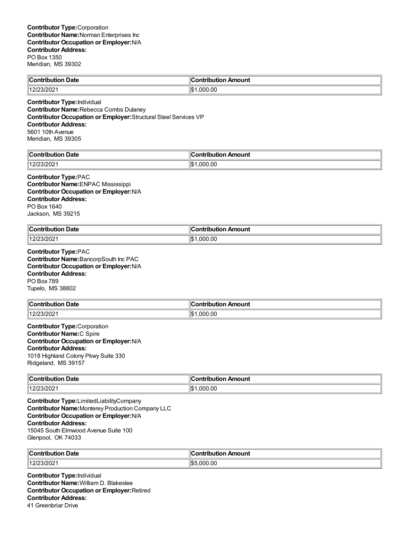| $\mathsf{C}_{\mathsf{C}}$<br><b>Date</b><br>tribution | ı Amount<br>ontribution |
|-------------------------------------------------------|-------------------------|
| 1202                                                  | 00.ر                    |
| 140K                                                  | ۱۱œ۰                    |
| - <i>א</i> ט∠/כ                                       | .000                    |

**Contributor Type:**Individual **Contributor Name:**Rebecca Combs Dulaney **Contributor Occupation or Employer:**Structural Steel Services VP **Contributor Address:** 5601 10th Avenue Meridian, MS 39305

| <b>Date</b><br>م ا<br><b>Contribution</b> | Contribution Amount |
|-------------------------------------------|---------------------|
| 12/23/2021                                | ∥\$∙<br>.000.00     |

#### **Contributor Type:**PAC

**Contributor Name:**ENPAC Mississippi **Contributor Occupation or Employer:**N/A **Contributor Address:** PO Box 1640 Jackson, MS 39215

| <b>Contribution Date</b>           | <sub>'</sub> n Amount<br>a www.laret<br>ution.<br>1D |
|------------------------------------|------------------------------------------------------|
| 140F<br>$\sim$ 10004<br>12/23/2021 | ۱¢<br>00. (<br>იიი<br>ЫJ                             |

**Contributor Type:**PAC **Contributor Name:**BancorpSouth Inc PAC **Contributor Occupation or Employer:**N/A **Contributor Address:** PO Box 789 Tupelo, MS 38802

| $\ $ Contribution   | . .                        |
|---------------------|----------------------------|
| <b>Date</b>         | <b>Contribution Amount</b> |
| 23/202 <sup>.</sup> | .000.00                    |
| 1401                | ١¢                         |

### **Contributor Type:**Corporation **Contributor Name:**C Spire **Contributor Occupation or Employer:**N/A **Contributor Address:** 1018 Highland Colony Pkwy Suite 330 Ridgeland, MS 39157

| $\ $ Contribution<br><b>Date</b> | Amount<br>---<br>---- |
|----------------------------------|-----------------------|
| 1400<                            | ∥\$∶                  |
| 12/23/202                        | .000.00               |

**Contributor Type:**LimitedLiabilityCompany **Contributor Name:**Monterey Production Company LLC **Contributor Occupation or Employer:**N/A **Contributor Address:** 15045 South Elmwood Avenue Suite 100 Glenpool, OK 74033

| $\mathbb{R}$ | าount              |
|--------------|--------------------|
| Date         |                    |
| .            |                    |
| AB<br>20Z    | .OC<br>۱¢<br>וו זו |

**Contributor Type:**Individual **Contributor Name:**William D. Blakeslee **Contributor Occupation or Employer:**Retired **Contributor Address:** 41 Greenbriar Drive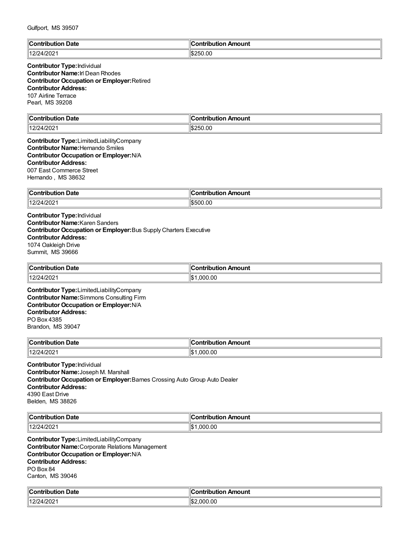|  | Gulfport, MS 39507 |
|--|--------------------|
|--|--------------------|

| <b>Contribution Date</b> | <b>Contribution Amount</b> |
|--------------------------|----------------------------|
| 12/24/2021               | \$250.00                   |

## **Contributor Type:**Individual **Contributor Name:**Irl Dean Rhodes **Contributor Occupation or Employer:**Retired **Contributor Address:** 107 Airline Terrace Pearl, MS 39208

| $\ $ Contribu<br>Date<br>⊔ti∩r<br>. | 10<br>mount<br>---<br>----<br>  |
|-------------------------------------|---------------------------------|
| 12/24/2021                          | $\parallel$ \$2<br>50.00<br>.,, |

#### **Contributor Type:**LimitedLiabilityCompany **Contributor Name:**Hernando Smiles **Contributor Occupation or Employer:**N/A **Contributor Address:** 007 East Commerce Street Hernando , MS 38632

| ∥Cont<br><b>Date</b><br>tribution | Amount<br>.<br>.<br>וטו |
|-----------------------------------|-------------------------|
| 12/24/2021                        | 00.00;<br>١æ<br>נורי    |

**Contributor Type:**Individual **Contributor Name:**Karen Sanders **Contributor Occupation or Employer:**Bus Supply Charters Executive **Contributor Address:** 1074 Oakleigh Drive Summit, MS 39666

| ∥Cont<br><b>Date</b><br>tribution | ontribution<br>n Amount |
|-----------------------------------|-------------------------|
| 4/202<br>112124<br>14K            | .00<br>nnn              |

**Contributor Type:**LimitedLiabilityCompany **Contributor Name:**Simmons Consulting Firm **Contributor Occupation or Employer:**N/A **Contributor Address:** PO Box 4385 Brandon, MS 39047

| <b>Contribution Date</b> | `ontribution Amount |
|--------------------------|---------------------|
| 12/24/2021               | .000.00             |
|                          | ı                   |

**Contributor Type:**Individual **Contributor Name:**Joseph M. Marshall **Contributor Occupation or Employer:**Barnes Crossing Auto Group Auto Dealer **Contributor Address:** 4390 East Drive Belden, MS 38826

| ∥C.<br>Date<br>.<br>----<br>.      | Amount<br>the second control |
|------------------------------------|------------------------------|
| 1000<br>  400<br>41 Z U Z<br>_____ | 00.,<br>l\$<br>000           |

**Contributor Type:**LimitedLiabilityCompany **Contributor Name:**Corporate Relations Management **Contributor Occupation or Employer:**N/A **Contributor Address:** PO Box 84 Canton, MS 39046

| $\epsilon$               | :ontribution    |
|--------------------------|-----------------|
| <b>Contribution Date</b> | ribution Amount |
| 12/24/2021               | ՝∣\$։           |
| 14.21                    | .000.00         |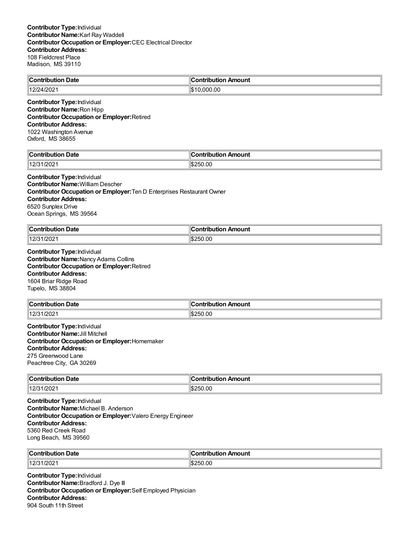| <b>Contribution Date</b>    | $\ $ Contribution Amount |
|-----------------------------|--------------------------|
| 12/24/2021                  | $\parallel$ \$10.000.00  |
| Contributor Tyne Individual |                          |

**Contributor Type:**Individual **Contributor Name:**Ron Hipp **Contributor Occupation or Employer:**Retired **Contributor Address:** 1022 Washington Avenue

Oxford, MS 38655

| $\ $ Contribution<br>Date     | ı<br>:ontribution<br>Amount |
|-------------------------------|-----------------------------|
| 1/202<br>140r<br>$\mathsf{L}$ | $\frac{1}{2}$ \$250.00      |

# **Contributor Type:**Individual

**Contributor Name:**William Descher **Contributor Occupation or Employer:**Ten D Enterprises Restaurant Owner **Contributor Address:** 6520 Sunplex Drive Ocean Springs, MS 39564

| llCo<br>-<br>Date<br>a manila mina m         | Amount<br>…ontributior |
|----------------------------------------------|------------------------|
| 14.01 <sup>c</sup><br>1/202<br><u>. د اڪ</u> | 250.00<br>ገ.ኬራ         |

**Contributor Type:**Individual **Contributor Name:**Nancy Adams Collins **Contributor Occupation or Employer:**Retired **Contributor Address:** 1604 Briar Ridge Road Tupelo, MS 38804

| $\ $ Contribution   | n Amount    |
|---------------------|-------------|
| <b>Date</b>         | ontribution |
| 110101<br>/202<br>L | 250.00;     |

**Contributor Type:**Individual **Contributor Name:**Jill Mitchell **Contributor Occupation or Employer:**Homemaker **Contributor Address:** 275 Greenwood Lane Peachtree City, GA 30269

| $\ $ Contribution | <b>Amount</b>      |
|-------------------|--------------------|
| Date              |                    |
| .                 |                    |
| 12/31/2021        | 50.00<br>⊪c<br>つちに |

**Contributor Type:**Individual **Contributor Name:**Michael B. Anderson **Contributor Occupation or Employer:**Valero Energy Engineer **Contributor Address:** 5360 Red Creek Road Long Beach, MS 39560

| ∣∣ี                  |                |
|----------------------|----------------|
| Date                 | r              |
| ⊪Cor″                | Amount         |
|                      | .              |
| 112/21<br>/202<br>14 | 1\$2<br>750.UC |

**Contributor Type:**Individual **Contributor Name:**Bradford J. Dye III **Contributor Occupation or Employer:**Self Employed Physician **Contributor Address:** 904 South 11th Street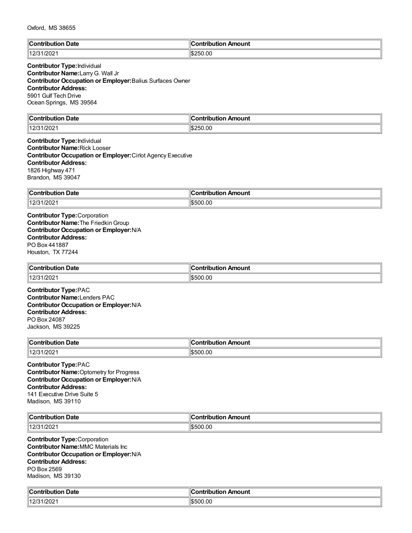| ∥Conti        | Amount       |
|---------------|--------------|
| Date          | `ontribution |
| .             |              |
| /202<br>1401c | 1\$250.00    |

## **Contributor Type:**Individual **Contributor Name:**LarryG. Wall Jr **Contributor Occupation or Employer:**Balius Surfaces Owner **Contributor Address:** 5901 Gulf Tech Drive Ocean Springs, MS 39564

| $\ $ Contribution<br>Date<br>.  | `ontribution<br>Amount      |
|---------------------------------|-----------------------------|
| ാ∩≏<br>1401 <sup>c</sup><br>ZUZ | $\frac{15250.00}{500}$<br>. |

**Contributor Type:**Individual **Contributor Name:**Rick Looser **Contributor Occupation or Employer:**Cirlot Agency Executive **Contributor Address:** 1826 Highway 471 Brandon, MS 39047

| ∥Con<br>Date<br><b><i><u>The Library Contracts</u></i></b> | `ontribution<br>ution Amount |
|------------------------------------------------------------|------------------------------|
| 1/202<br>110101<br>د اے ا                                  | \$500.00                     |

**Contributor Type:**Corporation **Contributor Name:**The FriedkinGroup **Contributor Occupation or Employer:**N/A **Contributor Address:** PO Box 441887 Houston, TX 77244

| <b>Contribution Date</b> | `ontribution Amount |
|--------------------------|---------------------|
| 110101<br>12/31/2021     | \$500.00            |

**Contributor Type:**PAC **Contributor Name:**Lenders PAC **Contributor Occupation or Employer:**N/A **Contributor Address:** PO Box 24087 Jackson, MS 39225

| Contribution<br>. Date     | ЧС.<br>"ontribuٽ<br>ribution Amount |
|----------------------------|-------------------------------------|
| 140/24<br>. 1/2021<br>1413 | \$500.00                            |

**Contributor Type:**PAC **Contributor Name:**Optometry for Progress **Contributor Occupation or Employer:**N/A **Contributor Address:** 141 Executive Drive Suite 5 Madison, MS 39110

| ∥C<br>Date<br>. | Amount<br>----        |
|-----------------|-----------------------|
| 112F<br>ZUZ     | $\sim$<br>.500<br>.Ul |

**Contributor Type:**Corporation **Contributor Name:**MMC Materials Inc **Contributor Occupation or Employer:**N/A **Contributor Address:** PO Box 2569 Madison, MS 39130

| م ا<br>.∩bution Date<br>`ontribution   | :ontribution<br>ribution Amount |
|----------------------------------------|---------------------------------|
| 1000<br>14.2 <sup>F</sup><br>7202<br>ॱ | 00.00<br>1551                   |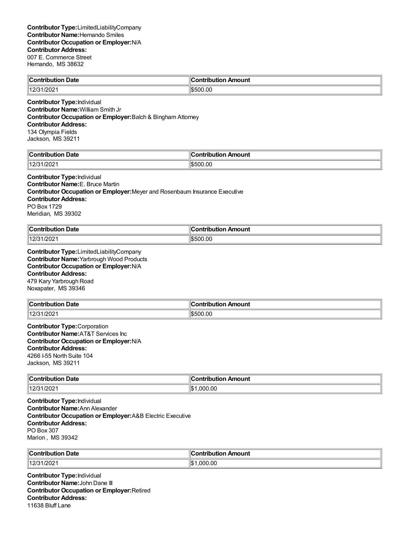| Contribution Date   | n Amount<br><b>Contribution</b> |
|---------------------|---------------------------------|
| 1401c<br>12/31/2021 | 500.00،                         |

**Contributor Type:**Individual **Contributor Name:**William Smith Jr **Contributor Occupation or Employer:**Balch & Bingham Attorney **Contributor Address:** 134 Olympia Fields Jackson, MS 39211

| ∥C.                    |             |
|------------------------|-------------|
| Date                   | n Amount    |
| Contribution           | וטו         |
| 2000<br>  400<br>1/202 | 0.00<br>. ה |

# **Contributor Type:**Individual

**Contributor Name:**E. Bruce Martin **Contributor Occupation or Employer:**Meyer and Rosenbaum Insurance Executive **Contributor Address:** PO Box 1729 Meridian, MS 39302

| ∥Contri<br>Date | ı<br>.<br>.ontributior<br>Amount |
|-----------------|----------------------------------|
| 1/202<br>110101 | 1\$500.00                        |

**Contributor Type:**LimitedLiabilityCompany **Contributor Name:**Yarbrough Wood Products **Contributor Occupation or Employer:**N/A **Contributor Address:** 479 Kary Yarbrough Road Noxapater, MS 39346

| → Date<br>$\ $ Contribution | đΓ<br>Amount<br>.<br>ïh⊔ti∩n |
|-----------------------------|------------------------------|
| 12/31/2021                  | \$500.00                     |

**Contributor Type:**Corporation **Contributor Name:**AT&T Services Inc **Contributor Occupation or Employer:**N/A **Contributor Address:** 4266 I-55 North Suite 104 Jackson, MS 39211

| $\ $ Contribution | <b>Amount</b>  |
|-------------------|----------------|
| Date              |                |
| .                 |                |
| 12/31/2021        | 11\$<br>000.00 |

**Contributor Type:**Individual **Contributor Name:**Ann Alexander **Contributor Occupation or Employer:**A&B Electric Executive **Contributor Address:** PO Box 307 Marion , MS 39342

| ∥Contribut         | IC             |
|--------------------|----------------|
| <b>Date</b>        |                |
| .                  | Amount         |
| ribution           | .              |
| /202<br>14.2E<br>L | .000.00<br>1\$ |

**Contributor Type:**Individual **Contributor Name:**John Dane III **Contributor Occupation or Employer:**Retired **Contributor Address:** 11638 Bluff Lane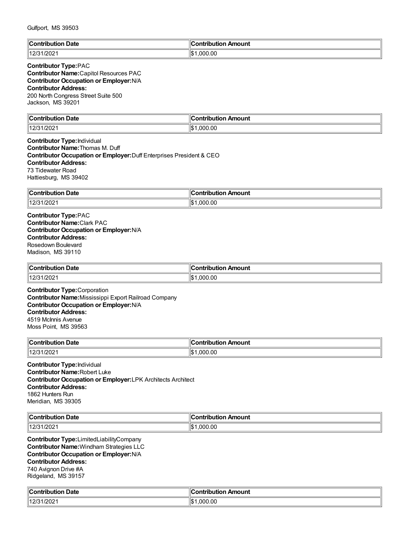| Gulfport, MS 39503                                                                                                                                                                                                                          |                            |  |
|---------------------------------------------------------------------------------------------------------------------------------------------------------------------------------------------------------------------------------------------|----------------------------|--|
| <b>Contribution Date</b>                                                                                                                                                                                                                    | <b>Contribution Amount</b> |  |
| 12/31/2021                                                                                                                                                                                                                                  | \$1,000.00                 |  |
| <b>Contributor Type:PAC</b><br><b>Contributor Name: Capitol Resources PAC</b><br><b>Contributor Occupation or Employer: N/A</b><br><b>Contributor Address:</b><br>200 North Congress Street Suite 500<br>Jackson, MS 39201                  |                            |  |
| <b>Contribution Date</b>                                                                                                                                                                                                                    | <b>Contribution Amount</b> |  |
| 12/31/2021                                                                                                                                                                                                                                  | \$1,000.00                 |  |
| <b>Contributor Type: Individual</b><br><b>Contributor Name: Thomas M. Duff</b><br>Contributor Occupation or Employer: Duff Enterprises President & CEO<br><b>Contributor Address:</b><br>73 Tidewater Road<br>Hattiesburg, MS 39402         |                            |  |
| <b>Contribution Date</b>                                                                                                                                                                                                                    | <b>Contribution Amount</b> |  |
| 12/31/2021                                                                                                                                                                                                                                  | \$1,000.00                 |  |
| <b>Contributor Name: Clark PAC</b><br>Contributor Occupation or Employer: N/A<br><b>Contributor Address:</b><br>Rosedown Boulevard<br>Madison, MS 39110                                                                                     |                            |  |
| <b>Contribution Date</b>                                                                                                                                                                                                                    | <b>Contribution Amount</b> |  |
| 12/31/2021<br><b>Contributor Type:</b> Corporation<br>Contributor Name: Mississippi Export Railroad Company<br><b>Contributor Occupation or Employer: N/A</b><br><b>Contributor Address:</b><br>4519 McInnis Avenue<br>Moss Point, MS 39563 | \$1,000.00                 |  |
| <b>Contribution Date</b>                                                                                                                                                                                                                    | <b>Contribution Amount</b> |  |
| 12/31/2021                                                                                                                                                                                                                                  | \$1,000.00                 |  |
| <b>Contributor Type: Individual</b><br><b>Contributor Name: Robert Luke</b><br><b>Contributor Occupation or Employer: LPK Architects Architect</b><br><b>Contributor Address:</b><br>1862 Hunters Run<br>Meridian, MS 39305                 |                            |  |
| <b>Contribution Date</b>                                                                                                                                                                                                                    | <b>Contribution Amount</b> |  |
| 12/31/2021                                                                                                                                                                                                                                  | \$1,000.00                 |  |
| <b>Contributor Type:</b> LimitedLiabilityCompany<br><b>Contributor Name: Windham Strategies LLC</b><br>Contributor Occupation or Employer: N/A<br><b>Contributor Address:</b>                                                               |                            |  |

740 Avignon Drive #A Ridgeland, MS 39157

| $\mathbf{r}$<br>Date<br>:ontribution<br>ribuu | ⊮<br>Amount<br>`ontribut⊾<br>.<br>Ш |
|-----------------------------------------------|-------------------------------------|
| /202'                                         | .000.00                             |
| 142 <sup>o</sup>                              | ∥\$։                                |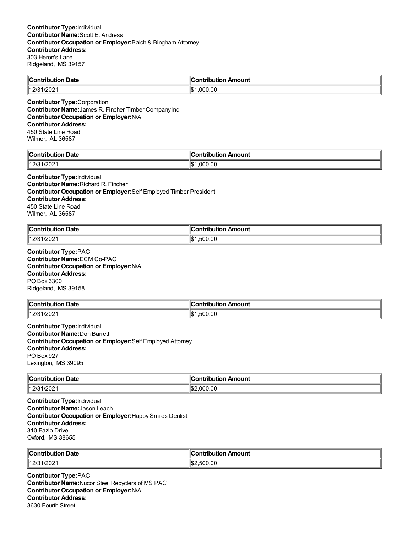| $\ C_{\cdot}\ $                     | <b>Antribution</b>         |
|-------------------------------------|----------------------------|
| າ Date                              | n Amount                   |
| .Contribution                       | יטו                        |
| 1000<br>14.2 <sup>1</sup><br>ےں ے ں | ۱۱œ۰<br>00. (<br>nnr<br>ьD |

**Contributor Type:**Corporation **Contributor Name:**James R. Fincher Timber Company Inc **Contributor Occupation or Employer:**N/A **Contributor Address:** 450 State Line Road Wilmer, AL 36587

| <b>Date</b> | Amount         |
|-------------|----------------|
| `on'        | $\sim$         |
| -----       | ----           |
| ---         | -----          |
| 400<br>202  | 000.00.<br>∥\$ |

#### **Contributor Type:**Individual

**Contributor Name:**Richard R. Fincher **Contributor Occupation or Employer:**Self Employed Timber President **Contributor Address:** 450 State Line Road Wilmer, AL 36587

| llC.<br>Date<br>$\sim$ $\sim$ $\sim$ $\sim$<br>.<br>. | ` ^ntrih⊔t⊪<br>Amount          |
|-------------------------------------------------------|--------------------------------|
| /202<br>1401                                          | .00<br>۱¢۰<br>ໍ^^<br>51<br>د∪ا |

**Contributor Type:**PAC **Contributor Name:**ECM Co-PAC **Contributor Occupation or Employer:**N/A **Contributor Address:** PO Box 3300 Ridgeland, MS 39158

| $\mathsf{C}_{\mathsf{C}}$<br><b>Date</b><br>awiha mina w | đΓ<br>Amount<br>a wakatika mki wa |
|----------------------------------------------------------|-----------------------------------|
| 140/24<br>1/202<br>ت اے ا                                | .500.00<br>1\$                    |

**Contributor Type:**Individual **Contributor Name:**Don Barrett **Contributor Occupation or Employer:**Self Employed Attorney **Contributor Address:** PO Box 927 Lexington, MS 39095

| <b>Contribution</b><br>-<br>bution Date | n Amount<br>ontribution |
|-----------------------------------------|-------------------------|
| 140r<br>1/202                           | 0.00<br>ገበር<br>ה היה י  |

**Contributor Type:**Individual **Contributor Name:**Jason Leach **Contributor Occupation or Employer:**Happy Smiles Dentist **Contributor Address:** 310 Fazio Drive Oxford, MS 38655

| ∥Conf       | IC.        |
|-------------|------------|
| <b>Date</b> | Amount     |
| .ribution   | antrihutia |
| .           | ___        |
| 12/31       | .500.00    |
| 1/202       | 11\$2      |

**Contributor Type:**PAC **Contributor Name:**Nucor Steel Recyclers of MS PAC **Contributor Occupation or Employer:**N/A **Contributor Address:** 3630 Fourth Street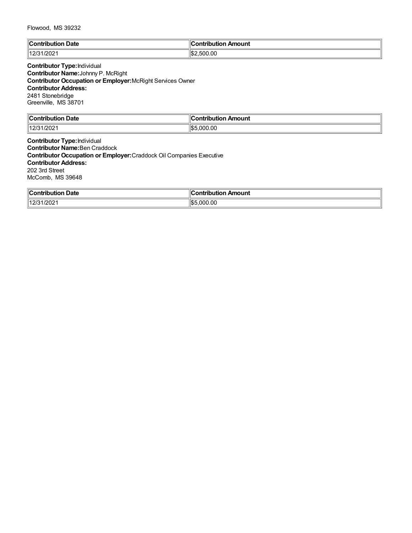| $\mathbb{I}$ C<br>Jate<br>$\sim$ contribute<br>∙ıtı.<br>. | Amount<br>$\mathbf{r}$ . The property of $\mathbf{r}$<br>. |
|-----------------------------------------------------------|------------------------------------------------------------|
| $\sqrt{2}$<br>14.2 <sup>17</sup><br>172021                | 'l\$:<br>.500.00                                           |

**Contributor Type:**Individual **Contributor Name:**Johnny P. McRight **Contributor Occupation or Employer:**McRight Services Owner **Contributor Address:** 2481 Stonebridge Greenville, MS 38701

| $\mathbb{C}$<br>Date<br>. :ontributior | Amount<br>`ontribution |
|----------------------------------------|------------------------|
| 1000<br>142 <sup>o</sup><br>1/202      | ,000.00<br>IS!         |

**Contributor Type:**Individual **Contributor Name:**Ben Craddock **Contributor Occupation or Employer:**Craddock Oil Companies Executive **Contributor Address:** 202 3rd Street McComb, MS 39648

| ∥Con'<br><b>Date</b><br>ribution | Amount<br>s sa baile i ch<br>---<br>ribution |
|----------------------------------|----------------------------------------------|
| /202<br>110101<br>$\sim$         | .00<br>川むん<br>nnn                            |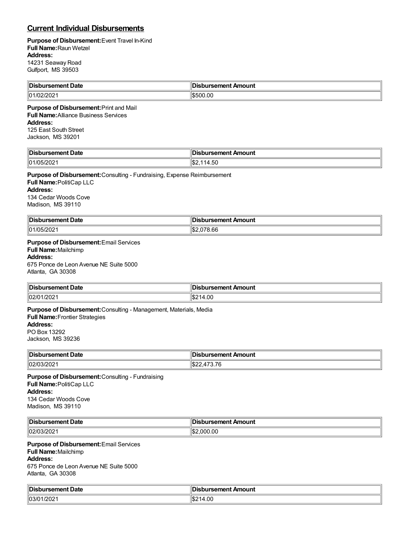# **Current Individual Disbursements**

#### **Purpose of Disbursement:**Event Travel In-Kind **Full Name:**Raun Wetzel **Address:** 14231 Seaway Road Gulfport, MS 39503

| Disbursement Date | sbursement Amount |
|-------------------|-------------------|
| /202<br>  01/r    | \$500.00          |

**Purpose of Disbursement:**Print and Mail **Full Name:**Alliance Business Services **Address:** 125 East South Street Jackson, MS 39201

| <b>∥Disl</b><br>Date<br>∵rsemen⊾ | Amount<br><b>Exament Alliers</b>                |
|----------------------------------|-------------------------------------------------|
| 01/05<br>120 <sub>4</sub>        | $\sim$ $\sim$<br>.50 <sub>1</sub><br>-11<br>. ה |

#### **Purpose of Disbursement:**Consulting - Fundraising, Expense Reimbursement

**Full Name:**PolitiCap LLC **Address:** 134 Cedar Woods Cove Madison, MS 39110

| Disbursement Date | ursement Amount                 |
|-------------------|---------------------------------|
| 01/05/202         | $\sim$<br>۱m۰<br>78.bc<br>∡0دا∀ |

## **Purpose of Disbursement:**Email Services

# **Full Name:**Mailchimp

**Address:**

675 Ponce de Leon Avenue NE Suite 5000 Atlanta, GA 30308

| <sup>∥</sup> Dis<br>Date | Amount<br>u reamant<br>$\sim$ $\sim$ |
|--------------------------|--------------------------------------|
| 02/01<br>1/2021<br>. .   | 4.OC<br>∴ ⊅د                         |

#### **Purpose of Disbursement:**Consulting - Management, Materials, Media

**Full Name:**Frontier Strategies **Address:** PO Box 13292 Jackson, MS 39236

| ⊪∩i<br>™ent Date<br>ьсп<br>. | Amount<br>-------<br>пτ<br>196116<br>. |
|------------------------------|----------------------------------------|
| $  02/\zeta$<br>. 21<br>∠∪∠  | .∟∠ه⊪                                  |

**Purpose of Disbursement:**Consulting - Fundraising **Full Name:**PolitiCap LLC **Address:** 134 Cedar Woods Cove Madison, MS 39110

| <sup>∥</sup> Dis. | Amount          |
|-------------------|-----------------|
| Date              | :amant          |
| .                 | н               |
|                   | $\sim$ $\sim$   |
| $\ 02/03/202\ $   | .000.00<br>∖. D |

#### **Purpose of Disbursement:**Email Services

**Full Name:**Mailchimp

# **Address:**

675 Ponce de Leon Avenue NE Suite 5000 Atlanta, GA 30308

| ∥Dis<br>Date<br>------<br>. | Amount                      |
|-----------------------------|-----------------------------|
| 03/01<br>/202               | 4.00<br>$\sim$<br>.<br>I∿D∠ |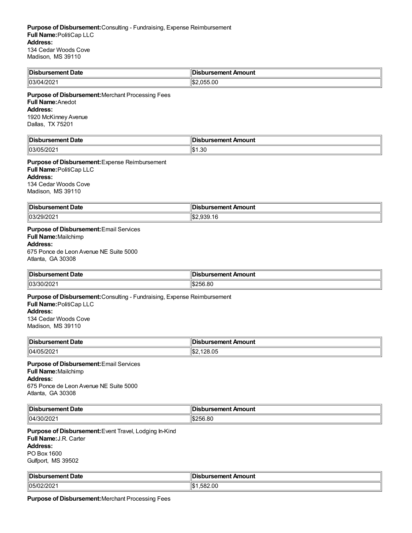| <b>Disbursement Date</b> | <b>Disbursement Amount</b> : |
|--------------------------|------------------------------|
| 03/04/2021               | .სა5.00                      |

**Purpose of Disbursement:**Merchant Processing Fees **Full Name:**Anedot **Address:** 1920 McKinney Avenue Dallas, TX 75201

| ∥Dis<br>Date<br>- - --- - -- -<br>neni | Amount<br>------<br>''' |
|----------------------------------------|-------------------------|
| 03/05<br>- UZ                          | 1.30<br>11 A            |

**Purpose of Disbursement:**Expense Reimbursement **Full Name:**PolitiCap LLC **Address:** 134 Cedar Woods Cove Madison, MS 39110

| ∥Dis<br>t Date<br>rsement | ursement Amount<br>ЛS |
|---------------------------|-----------------------|
| 03/29<br>29/2021          | י הו<br>``<br>⊿טרו    |

## **Purpose of Disbursement:**Email Services

**Full Name:**Mailchimp **Address:** 675 Ponce de Leon Avenue NE Suite 5000

## Atlanta, GA 30308

| <b>Disbursement Date</b> | Disbursement Amount |
|--------------------------|---------------------|
| י∪צוצ∪ן<br>∠∪∠           | \$256.80            |

## **Purpose of Disbursement:**Consulting - Fundraising, Expense Reimbursement

**Full Name:**PolitiCap LLC **Address:** 134 Cedar Woods Cove

Madison, MS 39110

| <b>∥Disb</b><br>›ursement Date | sbursement Amount |
|--------------------------------|-------------------|
| $  04/05/202 \rangle$          | \$2,128.05        |

# **Purpose of Disbursement:**Email Services **Full Name:**Mailchimp

**Address:** 675 Ponce de Leon Avenue NE Suite 5000 Atlanta, GA 30308

| <b>IDisb</b><br>Date<br>$-$ -mont<br>ursement i | isbursement Amount<br>Лś |
|-------------------------------------------------|--------------------------|
| 04/30/202                                       | 56.80<br>ำแ<br>. п.      |

**Purpose of Disbursement:**Event Travel, Lodging In-Kind **Full Name:**J.R. Carter **Address:** PO Box 1600 Gulfport, MS 39502

| <b>Dist</b><br>$-0.000000$<br>rsement Date. | Amount<br>ursement.         |
|---------------------------------------------|-----------------------------|
| 05/02/2<br>1202                             | . A<br>.00<br>ໍ້<br>58<br>. |

**Purpose of Disbursement:**Merchant Processing Fees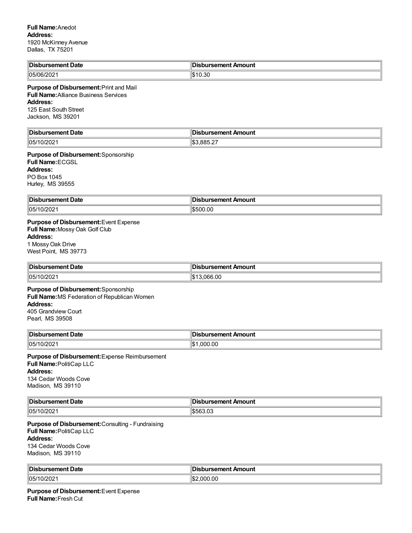| <b>Dist</b><br>rsement Date     | bursement Amount |
|---------------------------------|------------------|
| $\sim$ $\sim$<br>105/06/<br>⊿ט∠ | ົດດ<br>∪.∪ט      |

### **Purpose of Disbursement:**Print and Mail

**Full Name:**Alliance Business Services **Address:**

125 East South Street

Jackson, MS 39201

| lin:<br>Date<br>. | Amount<br>------<br>---          |
|-------------------|----------------------------------|
| ∖∖∩⊾<br>ZUZ       | $\sim$<br>885.2.<br>ዘው '<br>המוו |

**Purpose of Disbursement:**Sponsorship **Full Name:**ECGSL

**Address:** PO Box 1045 Hurley, MS 39555

| ∥Dis<br>Date<br>$ -$    | Amount<br>$\sim$ $\sim$ |
|-------------------------|-------------------------|
| $\parallel$ 05/1<br>.vz | 500.OC                  |

**Purpose of Disbursement:**Event Expense **Full Name:**MossyOak Golf Club **Address:** 1 MossyOak Drive

West Point, MS 39773

| ∥Di:         | ırsement Amount |
|--------------|-----------------|
| rsement Date | .               |
| 1105/        | 3.066.00        |
| 0/202        | I.T             |

#### **Purpose of Disbursement:**Sponsorship **Full Name:**MS Federation of Republican Women **Address:** 405 Grandview Court Pearl, MS 39508

| <sup>∥</sup> Disl<br>rsement Date<br>. | วนrsement Amount |
|----------------------------------------|------------------|
| פחמו<br> 05/<br>⊆∪∠                    | 000.00<br>I.D.   |

**Purpose of Disbursement:**Expense Reimbursement **Full Name:**PolitiCap LLC **Address:** 134 Cedar Woods Cove Madison, MS 39110

| Disbursement Date | __<br>Disbursement Amount |
|-------------------|---------------------------|
| 105/1             | יה ההי                    |
| . JIZUZ '         | .u.                       |

**Purpose of Disbursement:**Consulting - Fundraising **Full Name:**PolitiCap LLC **Address:** 134 Cedar Woods Cove Madison, MS 39110

| <b>IDis</b><br>ਾ sement Date | pursement Amount      |
|------------------------------|-----------------------|
| 105/10<br>10/202             | .000.00<br>ገሔ.<br>۰D۰ |

**Purpose of Disbursement:**Event Expense **Full Name:**Fresh Cut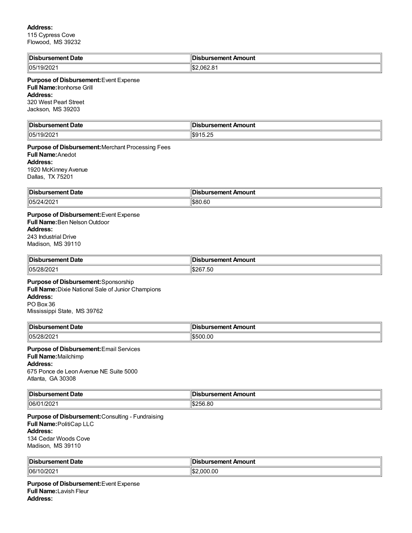#### **Address:**

115 Cypress Cove Flowood, MS 39232

| ∥Dis<br><b>Date</b><br>rsement I | Amount<br>`bursement.                         |
|----------------------------------|-----------------------------------------------|
| $\parallel$ 05/1<br>∠∪           | $\Omega$<br>10 <sup>o</sup><br>.062.8<br>I∿D∠ |

#### **Purpose of Disbursement:**Event Expense **Full Name:**Ironhorse Grill **Address:** 320 West Pearl Street

Jackson, MS 39203

| 'IDis<br>Date<br><br>. | mount<br>--------<br>^∽<br>ш<br>. .<br>.      |
|------------------------|-----------------------------------------------|
| 1105/<br><br>-uz       | $H \cap A \subset \cap \subset$<br><br>$\sim$ |

**Purpose of Disbursement:**Merchant Processing Fees **Full Name:**Anedot **Address:** 1920 McKinney Avenue Dallas, TX 75201

| Disbursement Date       | <b>Disbursement Amount</b> |
|-------------------------|----------------------------|
| 105/2<br>,,<br>41 Z U Z | مم موما<br>980.6C          |

# **Purpose of Disbursement:**Event Expense **Full Name:**Ben NelsonOutdoor **Address:** 243 Industrial Drive

Madison, MS 39110

| ' Dis.<br>ement Date<br>---<br>. | Amount<br>rsement A<br>. |
|----------------------------------|--------------------------|
| 05/T<br>1000<br>פכ<br>012 UZ     | $\sim$<br>1\$267.50      |

**Purpose of Disbursement:**Sponsorship **Full Name:**Dixie National Sale of Junior Champions **Address:** PO Box 36 Mississippi State, MS 39762

| Disbursement Date      | Disbursement Amount |
|------------------------|---------------------|
| 05/2<br>– 21 °<br>- UZ | 500.00              |

### **Purpose of Disbursement:**Email Services **Full Name:**Mailchimp **Address:** 675 Ponce de Leon Avenue NE Suite 5000

Atlanta, GA 30308

| <b>IDis</b>         | Amount            |
|---------------------|-------------------|
| <b>Date</b>         |                   |
| .                   | .                 |
| 106/0<br>1/202<br>. | ብሮጣ<br>ೆರಿ∠ರಿ0.8U |

**Purpose of Disbursement:**Consulting - Fundraising **Full Name:**PolitiCap LLC **Address:** 134 Cedar Woods Cove Madison, MS 39110

| Disbursement Date | Disbursement Amount |
|-------------------|---------------------|
| 0/202             | 2.000.00            |
| 106/1             | ™JD∠.               |

**Purpose of Disbursement:**Event Expense **Full Name:**Lavish Fleur **Address:**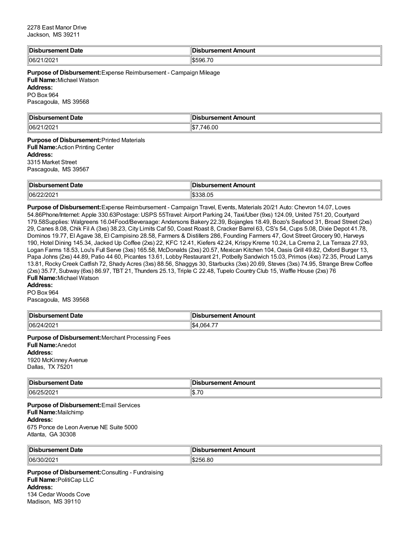| ‼Dis<br>bursement Date | Disbursement Amount |
|------------------------|---------------------|
| $ 06/21/202 \rangle$   | ା\$596.7∪           |

**Purpose of Disbursement:**Expense Reimbursement - Campaign Mileage **Full Name:**Michael Watson **Address:** PO Box 964 Pascagoula, MS 39568

| <b>‼Dis.</b>    | 'Dis                          |
|-----------------|-------------------------------|
| bursement Date  | วนrsement Amount              |
| 106/2<br>1/2021 | n<br>، π<br>74 F<br>IЭ<br>.uu |

#### **Purpose of Disbursement:**Printed Materials **Full Name:**Action Printing Center **Address:** 3315 Market Street

Pascagoula, MS 39567

| ∜Dis<br>Date<br>-- | . .<br>Amount |
|--------------------|---------------|
| 106/<br>. u .      | .Ut           |

**Purpose of Disbursement:**Expense Reimbursement - Campaign Travel, Events, Materials 20/21 Auto: Chevron 14.07, Loves 54.86Phone/Internet: Apple 330.63Postage: USPS 55Travel: Airport Parking 24, Taxi/Uber (9xs) 124.09, United 751.20, Courtyard 179.58Supplies: Walgreens 16.04Food/Beveraage: Andersons Bakery 22.39, Bojangles 18.49, Bozo's Seafood 31, Broad Street (2xs) 29, Canes 8.08, Chik Fil A (3xs) 38.23, City Limits Caf 50, Coast Roast 8, Cracker Barrel 63, CS's 54, Cups 5.08, Dixie Depot 41.78, Dominos 19.77, El Agave 38, El Campisino 28.58, Farmers & Distillers 286, Founding Farmers 47, Govt Street Grocery 90, Harveys 190, Hotel Dining 145.34, Jacked Up Coffee (2xs) 22, KFC 12.41, Kiefers 42.24, Krispy Kreme 10.24, La Crema 2, La Terraza 27.93, Logan Farms 18.53, Lou's Full Serve (3xs) 165.58, McDonalds (2xs) 20.57, Mexican Kitchen 104, Oasis Grill 49.82, Oxford Burger 13, Papa Johns (2xs) 44.89, Patio 44 60, Picantes 13.61, Lobby Restaurant 21, Potbelly Sandwich 15.03, Primos (4xs) 72.35, Proud Larrys 13.81, Rocky Creek Catfish 72, Shady Acres (3xs) 88.56, Shaggys 30, Starbucks (3xs) 20.69, Steves (3xs) 74.95, Strange Brew Coffee (2xs) 35.77, Subway (6xs) 86.97, TBT 21, Thunders 25.13, Triple C 22.48, Tupelo Country Club 15, Waffle House (2xs) 76 **Full Name:**Michael Watson

# **Address:**

PO Box 964 Pascagoula, MS 39568

| <b>∥Dis</b> k<br>bursement Date | <b>Disbursement Amount</b>    |
|---------------------------------|-------------------------------|
| $ 06/24/202 \rangle$            | $- -$<br>.064.7<br>ЧФ.<br>⊣30 |

**Purpose of Disbursement:**Merchant Processing Fees **Full Name:**Anedot **Address:** 1920 McKinney Avenue Dallas, TX 75201

| <sup>∥</sup> Dis⊾<br>Date<br>------<br>usenen. | ursement Amount                       |
|------------------------------------------------|---------------------------------------|
| 106/2<br>∠u∠u∠                                 | $\overline{\phantom{a}}$<br>۱œ<br>⊪D. |

**Purpose of Disbursement:**Email Services **Full Name:**Mailchimp **Address:** 675 Ponce de Leon Avenue NE Suite 5000 Atlanta, GA 30308

| ∥Di:<br>Date                                                   | Amount<br>ureamant<br>. |
|----------------------------------------------------------------|-------------------------|
| 06/<br>.uz<br>$\sim$ $\sim$ $\sim$ $\sim$ $\sim$ $\sim$ $\sim$ | <sup>-</sup> 6.80       |

**Purpose of Disbursement:**Consulting - Fundraising **Full Name:**PolitiCap LLC **Address:** 134 Cedar Woods Cove Madison, MS 39110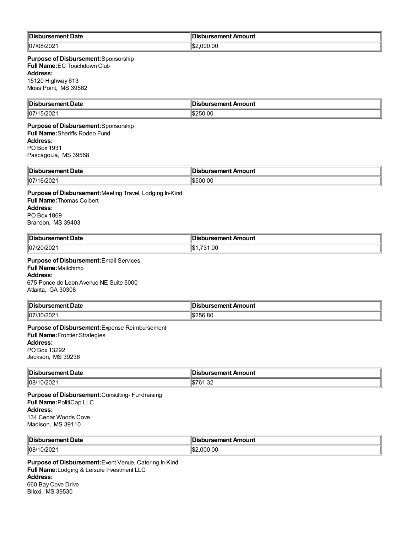| <b>Disb</b><br>›ursement Date | bursement Amount، |
|-------------------------------|-------------------|
| 07/08<br>ے0∠'                 | 000.00            |

#### **Purpose of Disbursement:**Sponsorship **Full Name:**EC Touchdown Club **Address:** 15120 Highway 613 Moss Point, MS 39562

| ∥Di<br>งursement Date | sbursement Amount |
|-----------------------|-------------------|
| 07/1<br>15/202        | \$250.00          |

#### **Purpose of Disbursement:**Sponsorship **Full Name:**Sheriffs Rodeo Fund **Address:** PO Box 1931 Pascagoula, MS 39568

| 'IDis<br>ment Date<br>mm    | : Amount<br>ursement. |
|-----------------------------|-----------------------|
| 107/<br>16/20<br>'67.<br>∠∪ | v.vu<br>I.S.          |

**Purpose of Disbursement:**Meeting Travel, Lodging In-Kind **Full Name:**Thomas Colbert **Address:** PO Box 1869 Brandon, MS 39403

| <sup>∥</sup> Dis.<br>Date<br>ırsement | งursement Amount<br>н |
|---------------------------------------|-----------------------|
| 07/20/202                             | .00                   |

## **Purpose of Disbursement:**Email Services

**Full Name:**Mailchimp **Address:**

675 Ponce de Leon Avenue NE Suite 5000 Atlanta, GA 30308

| Disbursement Date | านrsement Amount<br>DI.      |
|-------------------|------------------------------|
| 07/30/202         | 0.0000000<br>-256.8C<br>∕ ھ⊾ |

**Purpose of Disbursement:**Expense Reimbursement **Full Name:**Frontier Strategies **Address:** PO Box 13292 Jackson, MS 39236

| 'IDis.<br><i>r</i> sement Date<br>ı ır | sbursement Amount |
|----------------------------------------|-------------------|
| ിവാലെ                                  | . ICP             |
| 08/7                                   |                   |
| .vz                                    | ۱JD               |
|                                        | 1.JZ              |

**Purpose of Disbursement:**Consulting- Fundraising **Full Name:**PolitiCap LLC **Address:** 134 Cedar Woods Cove Madison, MS 39110

| ∥Dis<br>Date<br>. serrer | caman'<br>Amount<br>шызы |
|--------------------------|--------------------------|
| 08/10<br>10/202          | .000.00                  |

**Purpose of Disbursement:**Event Venue, Catering In-Kind **Full Name:**Lodging & Leisure Investment LLC **Address:** 660 Bay Cove Drive Biloxi, MS 39530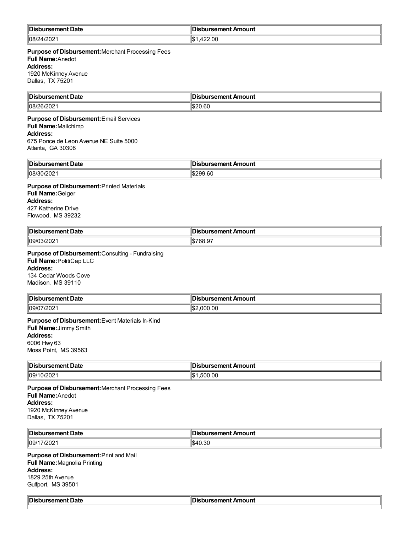| ∥Dis              | bursement Amount             |
|-------------------|------------------------------|
| . sement Date     | н                            |
| 08/<br>,,,<br>∠∪∠ | 22.00<br>۱۱<br>$\sim$ $\sim$ |

**Purpose of Disbursement:**Merchant Processing Fees **Full Name:**Anedot **Address:** 1920 McKinney Avenue Dallas, TX 75201

| Disbursement Date    | <b>Disbursement Amount</b> |
|----------------------|----------------------------|
| 108/26<br>$-$ ui 404 | $\sim$                     |

# **Purpose of Disbursement:**Email Services **Full Name:**Mailchimp **Address:**

675 Ponce de Leon Avenue NE Suite 5000 Atlanta, GA 30308

| ∜Dis<br>Date<br>. | Amount<br>$-$<br>11 L<br>$\sim$ $\sim$ $\sim$ $\sim$ $\sim$ $\sim$ $\sim$ |
|-------------------|---------------------------------------------------------------------------|
| 08/3 <sup>c</sup> | $\sim$                                                                    |
| _ ∠∪∠י            | 9.60 V                                                                    |

**Purpose of Disbursement:**Printed Materials

**Full Name:**Geiger **Address:** 427 Katherine Drive Flowood, MS 39232

| ∥Di:<br>Jate<br>.              | 10UN'         |
|--------------------------------|---------------|
| $\parallel$ 09/0<br>$\sim$ 04. | $\sim$ $\sim$ |

**Purpose of Disbursement:**Consulting - Fundraising **Full Name:**PolitiCap LLC

**Address:** 134 Cedar Woods Cove

Madison, MS 39110

| <b>Dis</b><br>. <i>.</i><br>⊥… <sub>∝ut</sub> Date<br>. | Amount<br>urcamant<br>1961 IGHL |
|---------------------------------------------------------|---------------------------------|
| 09/07/<br>772021                                        | :\$∥<br>0.0<br>000              |

#### **Purpose of Disbursement:**Event Materials In-Kind

**Full Name:**Jimmy Smith

## **Address:**

6006 Hwy 63 Moss Point, MS 39563

| <b>Dis</b><br>Jate<br>------- | Amount<br>. <b>.</b> |
|-------------------------------|----------------------|
| 09/1                          | .500.00              |
| 0/202                         | ∥\$                  |

**Purpose of Disbursement:**Merchant Processing Fees **Full Name:**Anedot **Address:** 1920 McKinney Avenue Dallas, TX 75201

| <sup>∖</sup> Dis.<br>.<br>Date<br>--<br>. | Amount<br>---------------<br>senent<br>. |
|-------------------------------------------|------------------------------------------|
| 09/17<br>∘ ∩מ<br>$\sim$<br>120Z           | $\sim$<br>rv.ou                          |

**Purpose of Disbursement:**Print and Mail **Full Name:**Magnolia Printing **Address:** 1829 25th Avenue Gulfport, MS 39501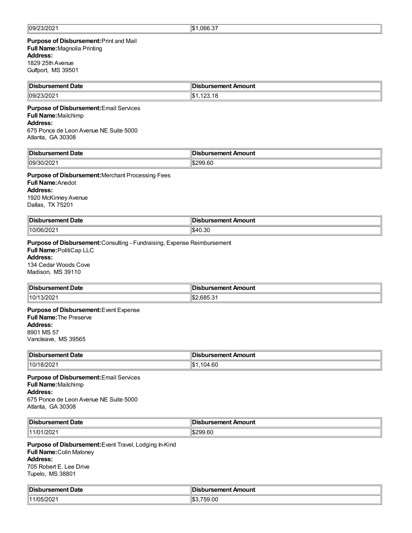# **Purpose of Disbursement:**Print and Mail **Full Name:**Magnolia Printing

## **Address:**

1829 25th Avenue Gulfport, MS 39501

| ⊧آ∩اا<br>oursement Date | Disbursement Amount |
|-------------------------|---------------------|
| 09/<br>uicuc            | $\sim$<br>I-D       |

#### **Purpose of Disbursement:**Email Services

## **Full Name:**Mailchimp

**Address:**

675 Ponce de Leon Avenue NE Suite 5000 Atlanta, GA 30308

| "Dis<br><b>Date</b><br>------<br>. | ------<br>Amount<br><br>. .<br>. |
|------------------------------------|----------------------------------|
| 09/<br>.uz                         | .6l                              |

#### **Purpose of Disbursement:**Merchant Processing Fees

**Full Name:**Anedot **Address:** 1920 McKinney Avenue Dallas, TX 75201

| <b>IIN:</b>        | sbursement Amount |
|--------------------|-------------------|
| ∥Disbursement Date | צוטי              |
| 10/06/202          | ⊾⊿<br>1 U.U       |

### **Purpose of Disbursement:**Consulting - Fundraising, Expense Reimbursement

**Full Name:**PolitiCap LLC **Address:**

134 Cedar Woods Cove Madison, MS 39110

| Disbursement    | __                            |
|-----------------|-------------------------------|
| : Date          | <b>Disbursement Amount</b>    |
| 10/1<br>13/2021 | $\sim$<br>n×<br>י ה<br>,,,,,, |

#### **Purpose of Disbursement:**Event Expense **Full Name:**The Preserve

**Address:**

8901 MS 57 Vancleave, MS 39565

| ¶Dis                     | bursement Amount               |
|--------------------------|--------------------------------|
| ırsement Date            | ЭĿ                             |
| $ 10/1\rangle$<br>18/202 | 4.60<br>$\mathbf{z}$<br>$-10-$ |

**Purpose of Disbursement:**Email Services **Full Name:**Mailchimp **Address:** 675 Ponce de Leon Avenue NE Suite 5000 Atlanta, GA 30308

| <b>∥Dis</b> Ł<br>rsement Date<br>. | `ırsement <i>⊦</i><br>Amount<br>Л¢<br>. |
|------------------------------------|-----------------------------------------|
| 1/202 <sup>.</sup>                 | ା\$299.60                               |
| 111/01                             | 19299.6C                                |

**Purpose of Disbursement:**Event Travel, Lodging In-Kind **Full Name:**Colin Maloney **Address:** 705 Robert E. Lee Drive Tupelo, MS 38801

| ‼Dis.                    | .,                         |
|--------------------------|----------------------------|
| rsement Date             | <b>Jisbursement Amount</b> |
| 1141 N G<br>71<br>14 U.C | $\sim$<br>ວອ.ບບ            |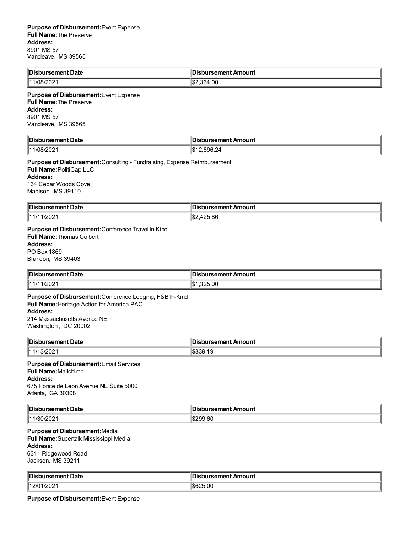| Disbursement Date | bursement Amount            |
|-------------------|-----------------------------|
| 11/08/2021        | 4.00<br>11 S.<br>0.01<br>≺⊿ |

#### **Purpose of Disbursement:**Event Expense **Full Name:**The Preserve **Address:** 8901 MS 57 Vancleave, MS 39565

| <b>Disb</b><br>งursement Date | ∥Disbursement Amount           |
|-------------------------------|--------------------------------|
| 78/20<br>vz                   | .896.24<br>، ۱۴۵<br>$\cdots$ D |

**Purpose of Disbursement:**Consulting - Fundraising, Expense Reimbursement **Full Name:**PolitiCap LLC **Address:** 134 Cedar Woods Cove Madison, MS 39110

| <b>Disb</b><br>rsement Date | <b>Jisbursement Amount</b> |
|-----------------------------|----------------------------|
| 1/202<br>14111<br>. II      | 425.86<br>∴∟0س             |

# **Purpose of Disbursement:**Conference Travel In-Kind

**Full Name:**Thomas Colbert **Address:** PO Box 1869 Brandon, MS 39403

| <b>Disi</b><br>งursement Date | Disbursement Amount |
|-------------------------------|---------------------|
| /202<br>114/14                | 325.00              |

**Purpose of Disbursement:**Conference Lodging, F&B In-Kind **Full Name:**Heritage Action for America PAC **Address:** 214 Massachusetts Avenue NE Washington , DC 20002

| <b>IDis</b><br>Date<br><u>comoni</u><br><b>ursement</b> .<br>. | Amount<br><b>Trement</b> |
|----------------------------------------------------------------|--------------------------|
| 11 4 14<br>13/2021                                             | `໓໐ວຯ.⊺ະ                 |

## **Purpose of Disbursement:**Email Services **Full Name:**Mailchimp

**Address:**

675 Ponce de Leon Avenue NE Suite 5000 Atlanta, GA 30308

| ∥Dis<br>Date<br>-------<br>rsement | Amount<br>`ement ∶<br>366. |
|------------------------------------|----------------------------|
| 111<br>2 U Z                       | $\sim$<br>99.60<br>.       |

## **Purpose of Disbursement:**Media

**Full Name:**Supertalk Mississippi Media **Address:** 6311 Ridgewood Road Jackson, MS 39211

| ∥Di∙ | Amount   |
|------|----------|
| Jate | -------- |
| .    | .        |
| 12/  | ıa       |
| '202 |          |
|      | .        |

**Purpose of Disbursement:**Event Expense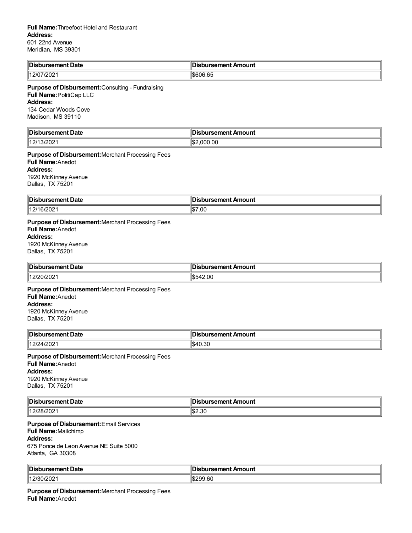| <b>IDist</b><br>Date<br>$\sim$ month<br>ursement<br>. | : Amount<br>`ırsement <sub>∙</sub><br>н<br>$\sim$ $\sim$ |
|-------------------------------------------------------|----------------------------------------------------------|
| 12/07/2021                                            | <b>\$606.65</b>                                          |

**Purpose of Disbursement:**Consulting - Fundraising **Full Name:**PolitiCap LLC **Address:**

134 Cedar Woods Cove Madison, MS 39110

| ∥Di:<br>--<br>ement Date <sup>.</sup><br>$ -$ | ursement Amount         |
|-----------------------------------------------|-------------------------|
| 13/202<br>1014.<br>. I 4<br>14                | 000.00.<br>م م ا<br>⊿ال |

**Purpose of Disbursement:**Merchant Processing Fees **Full Name:**Anedot **Address:** 1920 McKinney Avenue Dallas, TX 75201

| ¶Dis<br>Jate         | ш<br>Amount<br>. . |
|----------------------|--------------------|
| 1171.<br>6/202<br>14 | $\frac{157.00}{5}$ |

**Purpose of Disbursement:**Merchant Processing Fees **Full Name:**Anedot **Address:** 1920 McKinney Avenue Dallas, TX 75201

| ∜Dis<br>Date<br>$-$ where $-$<br><br>. | Amount<br>$- - - - - - -$<br><br>. |
|----------------------------------------|------------------------------------|
| 1401                                   | 2.00                               |
| ◡▵                                     | $\sim$                             |
|                                        | $ -$                               |

**Purpose of Disbursement:**Merchant Processing Fees **Full Name:**Anedot **Address:** 1920 McKinney Avenue Dallas, TX 75201

| <b>‼Dis.</b><br><b>ursement Date</b> | bursement Amount |
|--------------------------------------|------------------|
| 1401<br>4/202<br>تے رے ر             | ზ4.<br>1 U.U     |

**Purpose of Disbursement:**Merchant Processing Fees **Full Name:**Anedot **Address:** 1920 McKinney Avenue Dallas, TX 75201

| ∥Dis                               | bursement Amount |
|------------------------------------|------------------|
| ırsement Date                      | ЛS               |
| 14.2 <sup>F</sup><br>ገር<br>-VILVL' | S2.30            |

**Purpose of Disbursement:**Email Services **Full Name:**Mailchimp **Address:**

675 Ponce de Leon Avenue NE Suite 5000 Atlanta, GA 30308

| <b>Disb</b>          |                 |
|----------------------|-----------------|
| ursement             | ursement Amount |
| * Date               | ™uspursen.      |
| 14000c<br>12/30/2021 | 1\$299.60       |

**Purpose of Disbursement:**Merchant Processing Fees **Full Name:**Anedot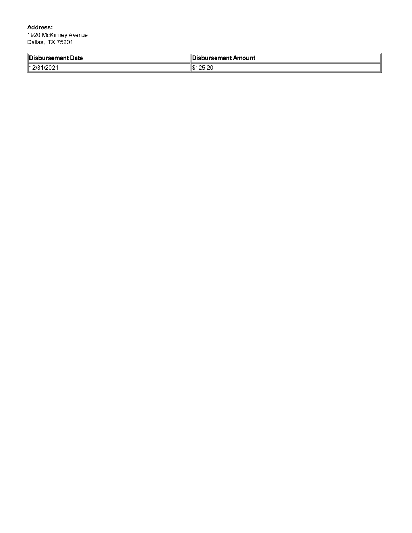**Address:** 

1920 McKinney Avenue Dallas, TX 75201

| Disbursement Date | Disbursement Amount |
|-------------------|---------------------|
| 140F              | - ^^                |
| 1202              | ,,                  |
| 11494             | .                   |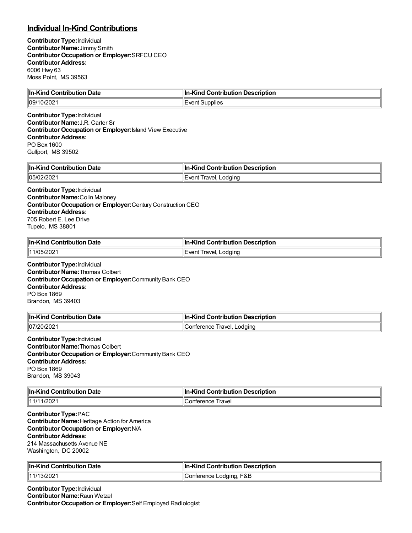# **Individual In-Kind Contributions**

**Contributor Type:**Individual **Contributor Name:**Jimmy Smith **Contributor Occupation or Employer:**SRFCU CEO **Contributor Address:** 6006 Hwy 63 Moss Point, MS 39563

| In-Kind Contribution Date                                                                                                                                                                                                   | In-Kind Contribution Description |
|-----------------------------------------------------------------------------------------------------------------------------------------------------------------------------------------------------------------------------|----------------------------------|
| 09/10/2021                                                                                                                                                                                                                  | Event Supplies                   |
| <b>Contributor Type: Individual</b><br><b>Contributor Name: J.R. Carter Sr.</b><br><b>Contributor Occupation or Employer: Island View Executive</b><br><b>Contributor Address:</b><br>PO Box 1600<br>Gulfport, MS 39502     |                                  |
| In-Kind Contribution Date                                                                                                                                                                                                   | In-Kind Contribution Description |
| 05/02/2021                                                                                                                                                                                                                  | Event Travel, Lodging            |
| <b>Contributor Type: Individual</b><br><b>Contributor Name: Colin Maloney</b><br>Contributor Occupation or Employer: Century Construction CEO<br><b>Contributor Address:</b><br>705 Robert E. Lee Drive<br>Tupelo, MS 38801 |                                  |
| In-Kind Contribution Date                                                                                                                                                                                                   | In-Kind Contribution Description |
| 11/05/2021                                                                                                                                                                                                                  | Event Travel, Lodging            |
| <b>Contributor Type: Individual</b><br><b>Contributor Name: Thomas Colbert</b><br>Contributor Occupation or Employer: Community Bank CEO<br><b>Contributor Address:</b><br>DO DAY 1000.                                     |                                  |

PO Box 1869 Brandon, MS 39403

| <b>In-Kind Contribution Date</b> | n-Kind Contribution Description |
|----------------------------------|---------------------------------|
| 107/20/2021                      | Conference Travel, Lodging      |

**Contributor Type:**Individual **Contributor Name:**Thomas Colbert **Contributor Occupation or Employer:**Community Bank CEO **Contributor Address:** PO Box 1869 Brandon, MS 39043

| <b>In-Kind Contribution Date</b> | In-Kind Contribution Description |
|----------------------------------|----------------------------------|
| 11/11/2021                       | Conference Travel                |

**Contributor Type:**PAC **Contributor Name:**Heritage Action for America **Contributor Occupation or Employer:**N/A **Contributor Address:** 214 Massachusetts Avenue NE Washington, DC 20002

| <b>In-Kind Contribution Date</b> | <b>In-Kind Contribution Description</b> |
|----------------------------------|-----------------------------------------|
| 11/13/2021                       | Conference Lodging, F&B                 |

**Contributor Type:**Individual **Contributor Name:**Raun Wetzel **Contributor Occupation or Employer:**Self Employed Radiologist